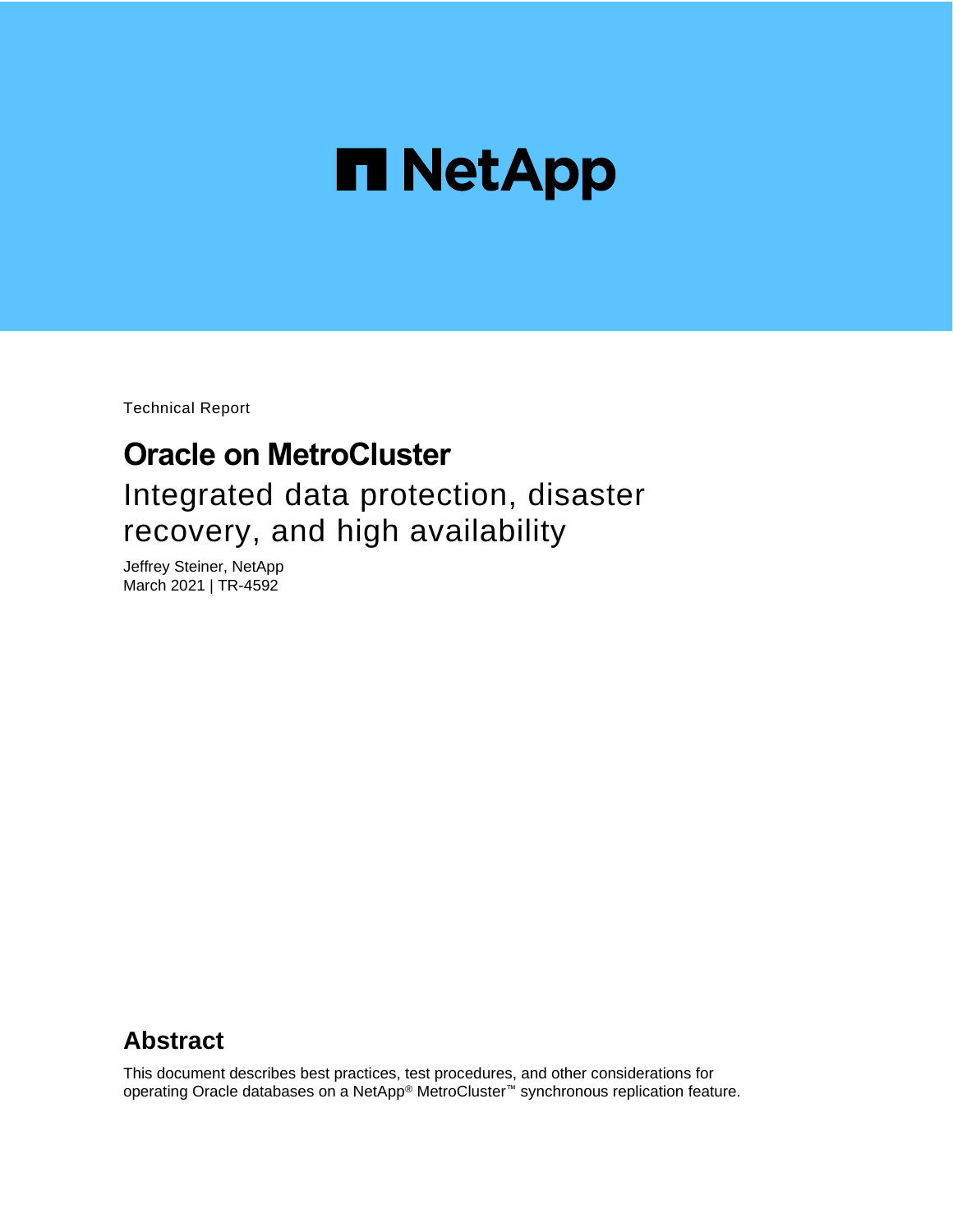

Technical Report

# **Oracle on MetroCluster** Integrated data protection, disaster recovery, and high availability

Jeffrey Steiner, NetApp March 2021 | TR-4592

## **Abstract**

This document describes best practices, test procedures, and other considerations for operating Oracle databases on a NetApp® MetroCluster™ synchronous replication feature.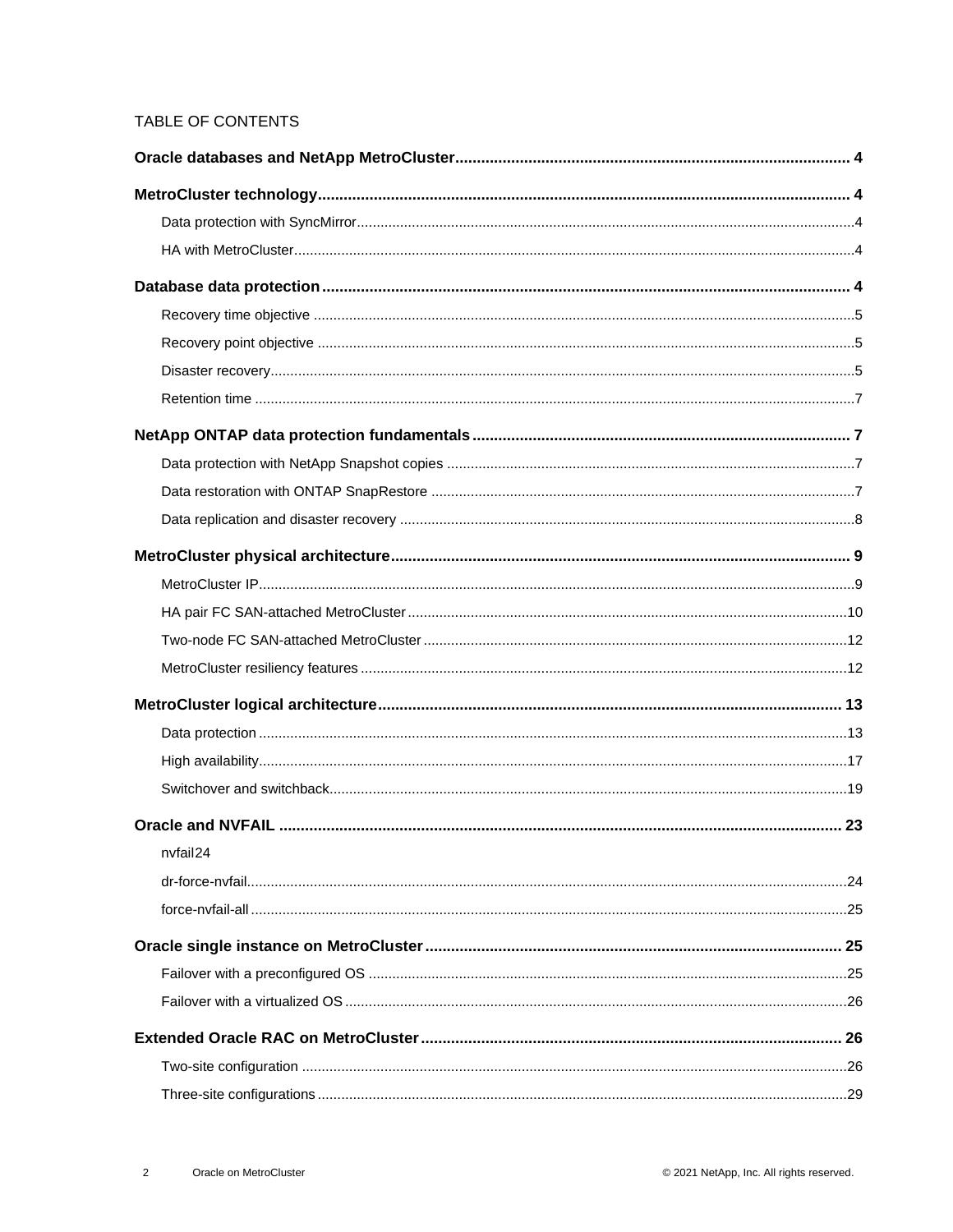### TABLE OF CONTENTS

| nvfail24 |  |
|----------|--|
|          |  |
|          |  |
|          |  |
|          |  |
|          |  |
|          |  |
|          |  |
|          |  |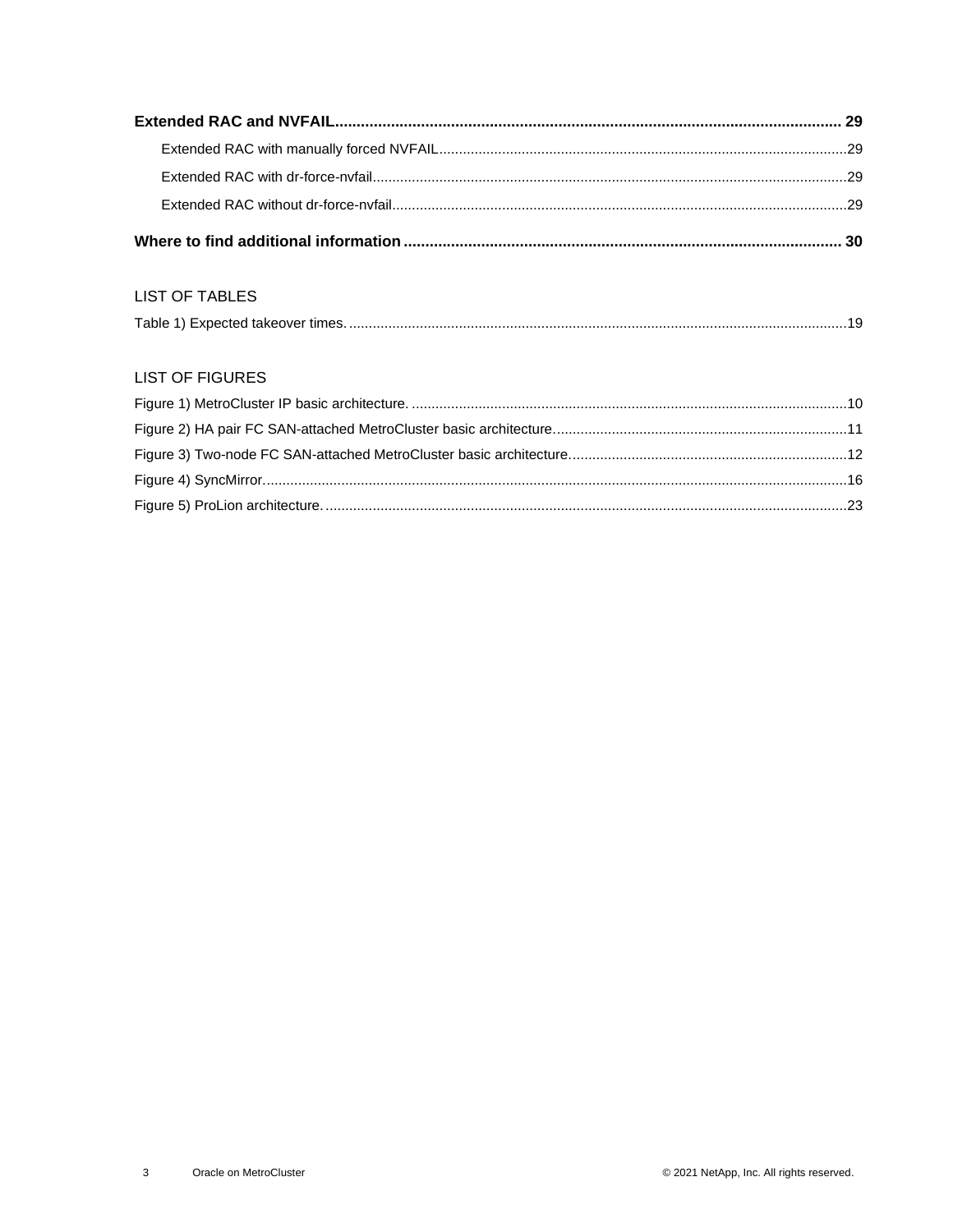#### **LIST OF TABLES**

| Table 1) Expected takeover times. |
|-----------------------------------|
|-----------------------------------|

#### **LIST OF FIGURES**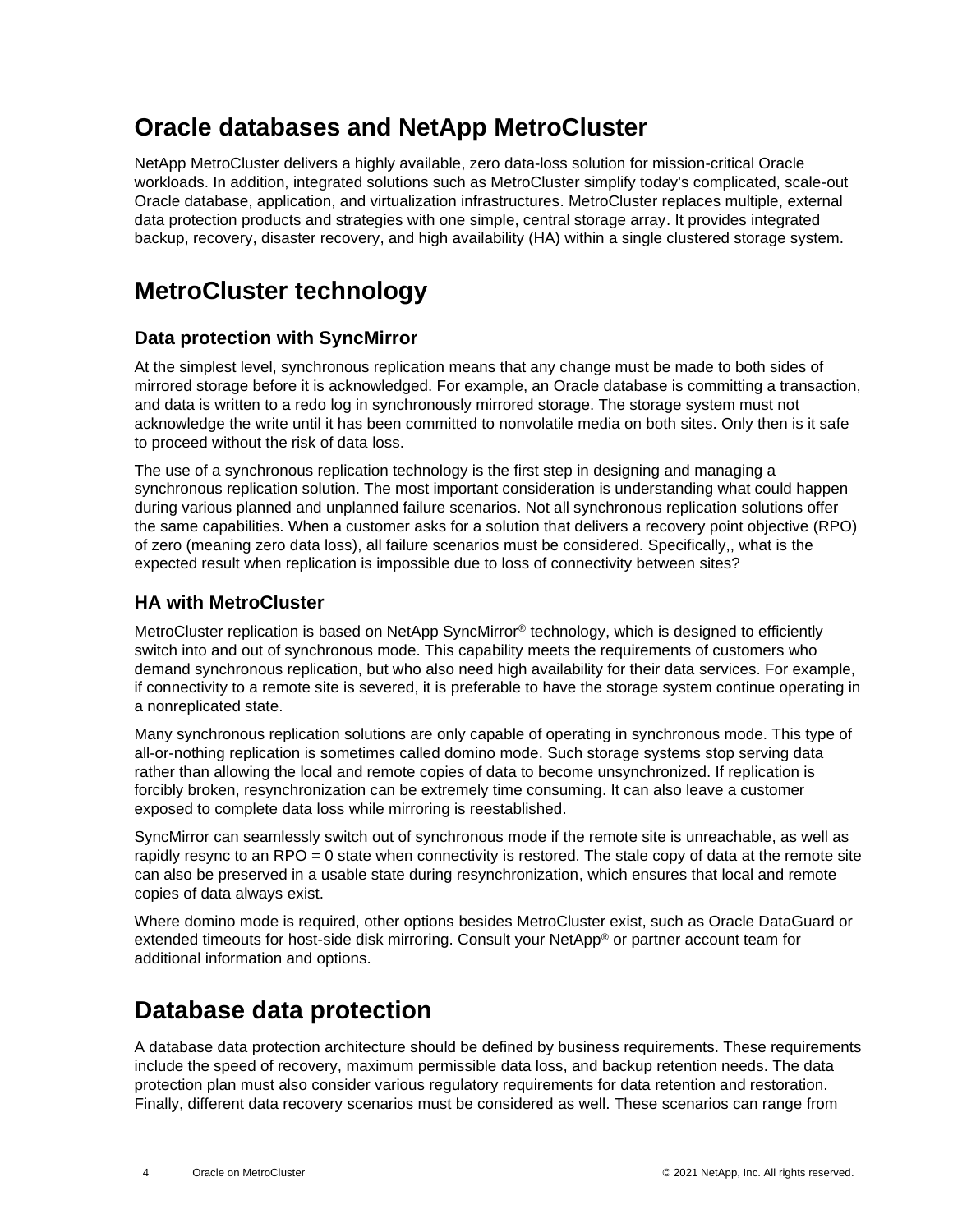# <span id="page-3-0"></span>**Oracle databases and NetApp MetroCluster**

NetApp MetroCluster delivers a highly available, zero data-loss solution for mission-critical Oracle workloads. In addition, integrated solutions such as MetroCluster simplify today's complicated, scale-out Oracle database, application, and virtualization infrastructures. MetroCluster replaces multiple, external data protection products and strategies with one simple, central storage array. It provides integrated backup, recovery, disaster recovery, and high availability (HA) within a single clustered storage system.

# <span id="page-3-1"></span>**MetroCluster technology**

## <span id="page-3-2"></span>**Data protection with SyncMirror**

At the simplest level, synchronous replication means that any change must be made to both sides of mirrored storage before it is acknowledged. For example, an Oracle database is committing a transaction, and data is written to a redo log in synchronously mirrored storage. The storage system must not acknowledge the write until it has been committed to nonvolatile media on both sites. Only then is it safe to proceed without the risk of data loss.

The use of a synchronous replication technology is the first step in designing and managing a synchronous replication solution. The most important consideration is understanding what could happen during various planned and unplanned failure scenarios. Not all synchronous replication solutions offer the same capabilities. When a customer asks for a solution that delivers a recovery point objective (RPO) of zero (meaning zero data loss), all failure scenarios must be considered. Specifically,, what is the expected result when replication is impossible due to loss of connectivity between sites?

## <span id="page-3-3"></span>**HA with MetroCluster**

MetroCluster replication is based on NetApp SyncMirror® technology, which is designed to efficiently switch into and out of synchronous mode. This capability meets the requirements of customers who demand synchronous replication, but who also need high availability for their data services. For example, if connectivity to a remote site is severed, it is preferable to have the storage system continue operating in a nonreplicated state.

Many synchronous replication solutions are only capable of operating in synchronous mode. This type of all-or-nothing replication is sometimes called domino mode. Such storage systems stop serving data rather than allowing the local and remote copies of data to become unsynchronized. If replication is forcibly broken, resynchronization can be extremely time consuming. It can also leave a customer exposed to complete data loss while mirroring is reestablished.

SyncMirror can seamlessly switch out of synchronous mode if the remote site is unreachable, as well as rapidly resync to an RPO = 0 state when connectivity is restored. The stale copy of data at the remote site can also be preserved in a usable state during resynchronization, which ensures that local and remote copies of data always exist.

Where domino mode is required, other options besides MetroCluster exist, such as Oracle DataGuard or extended timeouts for host-side disk mirroring. Consult your NetApp® or partner account team for additional information and options.

## <span id="page-3-4"></span>**Database data protection**

A database data protection architecture should be defined by business requirements. These requirements include the speed of recovery, maximum permissible data loss, and backup retention needs. The data protection plan must also consider various regulatory requirements for data retention and restoration. Finally, different data recovery scenarios must be considered as well. These scenarios can range from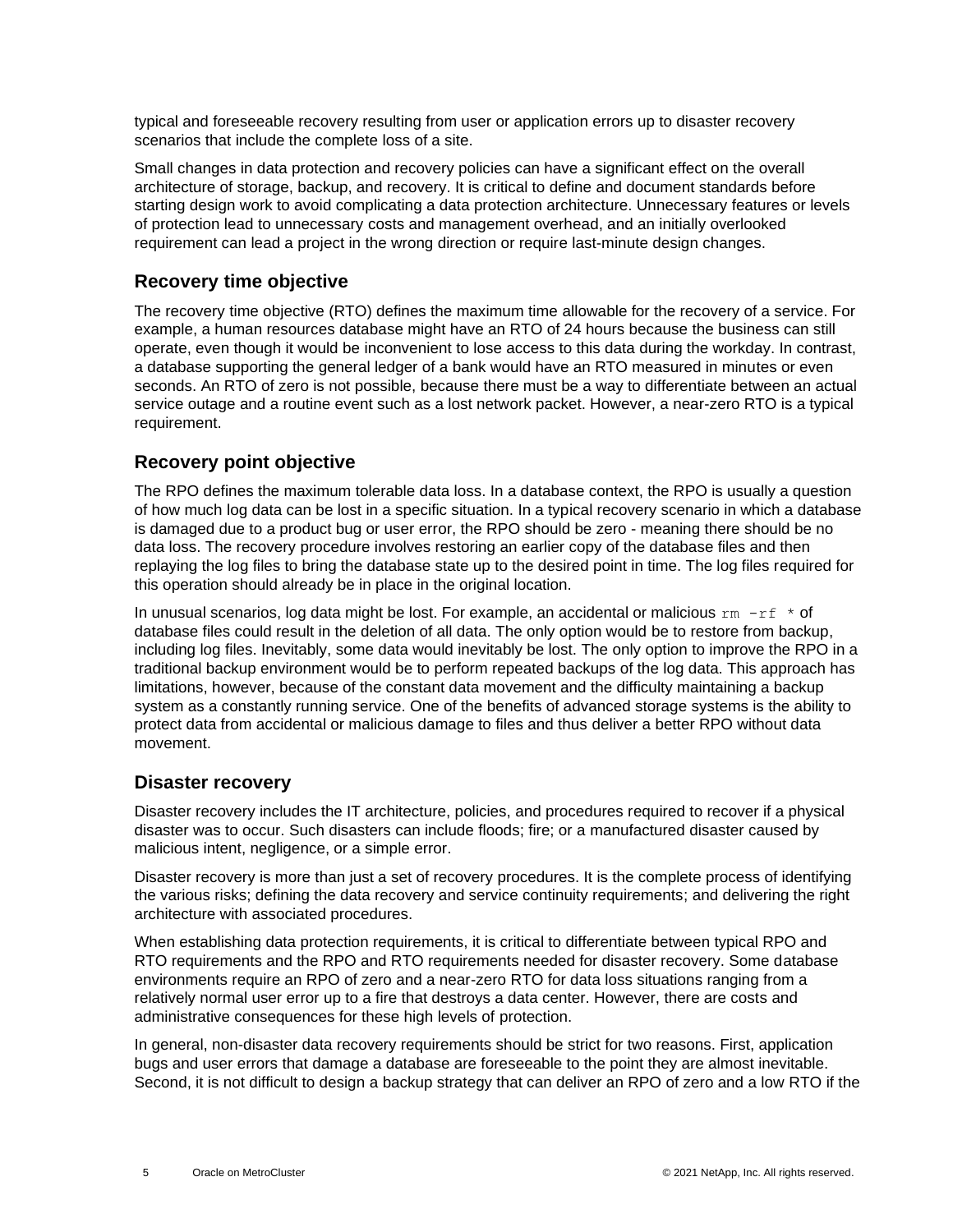typical and foreseeable recovery resulting from user or application errors up to disaster recovery scenarios that include the complete loss of a site.

Small changes in data protection and recovery policies can have a significant effect on the overall architecture of storage, backup, and recovery. It is critical to define and document standards before starting design work to avoid complicating a data protection architecture. Unnecessary features or levels of protection lead to unnecessary costs and management overhead, and an initially overlooked requirement can lead a project in the wrong direction or require last-minute design changes.

## <span id="page-4-0"></span>**Recovery time objective**

The recovery time objective (RTO) defines the maximum time allowable for the recovery of a service. For example, a human resources database might have an RTO of 24 hours because the business can still operate, even though it would be inconvenient to lose access to this data during the workday. In contrast, a database supporting the general ledger of a bank would have an RTO measured in minutes or even seconds. An RTO of zero is not possible, because there must be a way to differentiate between an actual service outage and a routine event such as a lost network packet. However, a near-zero RTO is a typical requirement.

## <span id="page-4-1"></span>**Recovery point objective**

The RPO defines the maximum tolerable data loss. In a database context, the RPO is usually a question of how much log data can be lost in a specific situation. In a typical recovery scenario in which a database is damaged due to a product bug or user error, the RPO should be zero - meaning there should be no data loss. The recovery procedure involves restoring an earlier copy of the database files and then replaying the log files to bring the database state up to the desired point in time. The log files required for this operation should already be in place in the original location.

In unusual scenarios, log data might be lost. For example, an accidental or malicious  $rm -rf \cdot *$  of database files could result in the deletion of all data. The only option would be to restore from backup, including log files. Inevitably, some data would inevitably be lost. The only option to improve the RPO in a traditional backup environment would be to perform repeated backups of the log data. This approach has limitations, however, because of the constant data movement and the difficulty maintaining a backup system as a constantly running service. One of the benefits of advanced storage systems is the ability to protect data from accidental or malicious damage to files and thus deliver a better RPO without data movement.

### <span id="page-4-2"></span>**Disaster recovery**

Disaster recovery includes the IT architecture, policies, and procedures required to recover if a physical disaster was to occur. Such disasters can include floods; fire; or a manufactured disaster caused by malicious intent, negligence, or a simple error.

Disaster recovery is more than just a set of recovery procedures. It is the complete process of identifying the various risks; defining the data recovery and service continuity requirements; and delivering the right architecture with associated procedures.

When establishing data protection requirements, it is critical to differentiate between typical RPO and RTO requirements and the RPO and RTO requirements needed for disaster recovery. Some database environments require an RPO of zero and a near-zero RTO for data loss situations ranging from a relatively normal user error up to a fire that destroys a data center. However, there are costs and administrative consequences for these high levels of protection.

In general, non-disaster data recovery requirements should be strict for two reasons. First, application bugs and user errors that damage a database are foreseeable to the point they are almost inevitable. Second, it is not difficult to design a backup strategy that can deliver an RPO of zero and a low RTO if the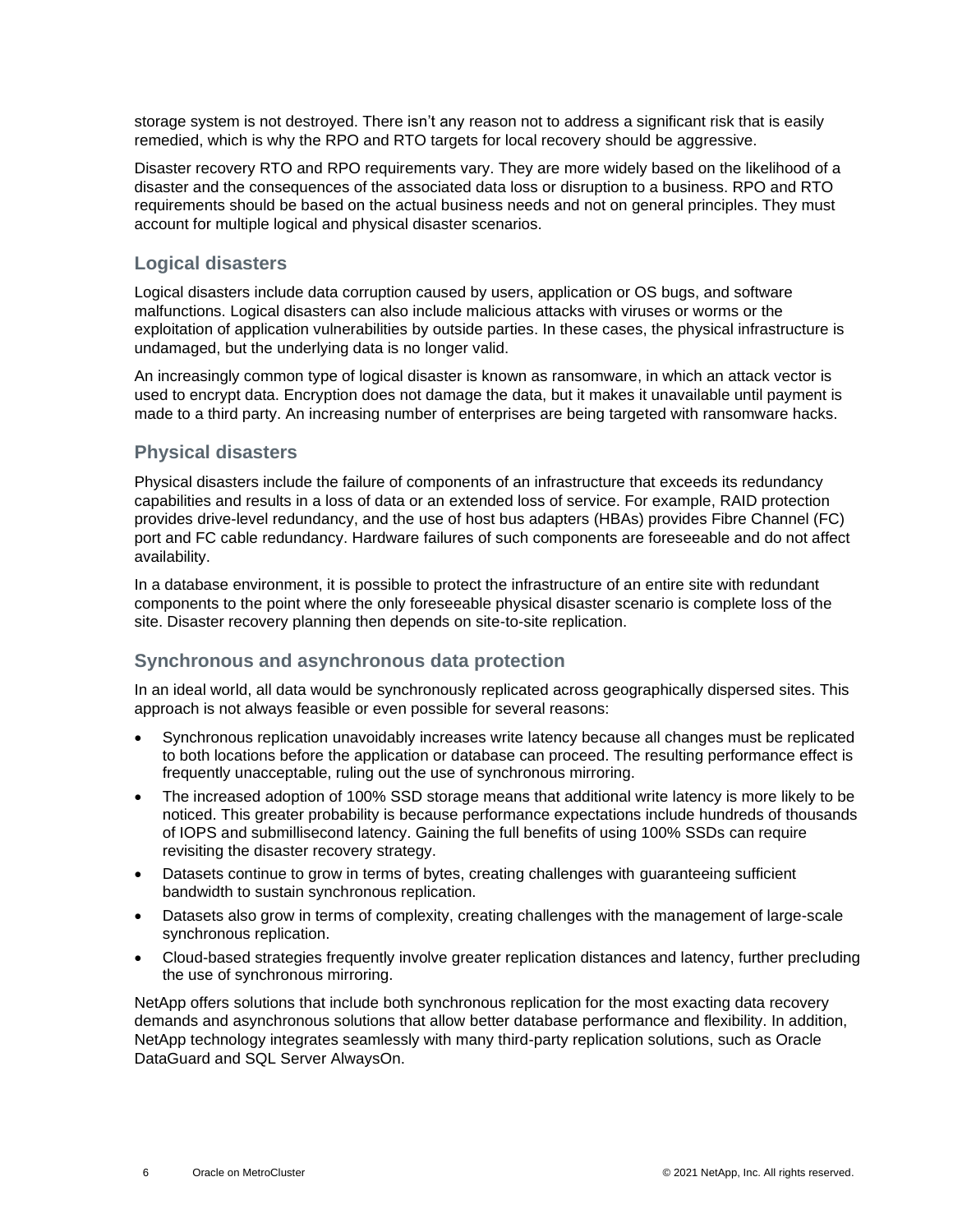storage system is not destroyed. There isn't any reason not to address a significant risk that is easily remedied, which is why the RPO and RTO targets for local recovery should be aggressive.

Disaster recovery RTO and RPO requirements vary. They are more widely based on the likelihood of a disaster and the consequences of the associated data loss or disruption to a business. RPO and RTO requirements should be based on the actual business needs and not on general principles. They must account for multiple logical and physical disaster scenarios.

### **Logical disasters**

Logical disasters include data corruption caused by users, application or OS bugs, and software malfunctions. Logical disasters can also include malicious attacks with viruses or worms or the exploitation of application vulnerabilities by outside parties. In these cases, the physical infrastructure is undamaged, but the underlying data is no longer valid.

An increasingly common type of logical disaster is known as ransomware, in which an attack vector is used to encrypt data. Encryption does not damage the data, but it makes it unavailable until payment is made to a third party. An increasing number of enterprises are being targeted with ransomware hacks.

### **Physical disasters**

Physical disasters include the failure of components of an infrastructure that exceeds its redundancy capabilities and results in a loss of data or an extended loss of service. For example, RAID protection provides drive-level redundancy, and the use of host bus adapters (HBAs) provides Fibre Channel (FC) port and FC cable redundancy. Hardware failures of such components are foreseeable and do not affect availability.

In a database environment, it is possible to protect the infrastructure of an entire site with redundant components to the point where the only foreseeable physical disaster scenario is complete loss of the site. Disaster recovery planning then depends on site-to-site replication.

## **Synchronous and asynchronous data protection**

In an ideal world, all data would be synchronously replicated across geographically dispersed sites. This approach is not always feasible or even possible for several reasons:

- Synchronous replication unavoidably increases write latency because all changes must be replicated to both locations before the application or database can proceed. The resulting performance effect is frequently unacceptable, ruling out the use of synchronous mirroring.
- The increased adoption of 100% SSD storage means that additional write latency is more likely to be noticed. This greater probability is because performance expectations include hundreds of thousands of IOPS and submillisecond latency. Gaining the full benefits of using 100% SSDs can require revisiting the disaster recovery strategy.
- Datasets continue to grow in terms of bytes, creating challenges with guaranteeing sufficient bandwidth to sustain synchronous replication.
- Datasets also grow in terms of complexity, creating challenges with the management of large-scale synchronous replication.
- Cloud-based strategies frequently involve greater replication distances and latency, further precluding the use of synchronous mirroring.

NetApp offers solutions that include both synchronous replication for the most exacting data recovery demands and asynchronous solutions that allow better database performance and flexibility. In addition, NetApp technology integrates seamlessly with many third-party replication solutions, such as Oracle DataGuard and SQL Server AlwaysOn.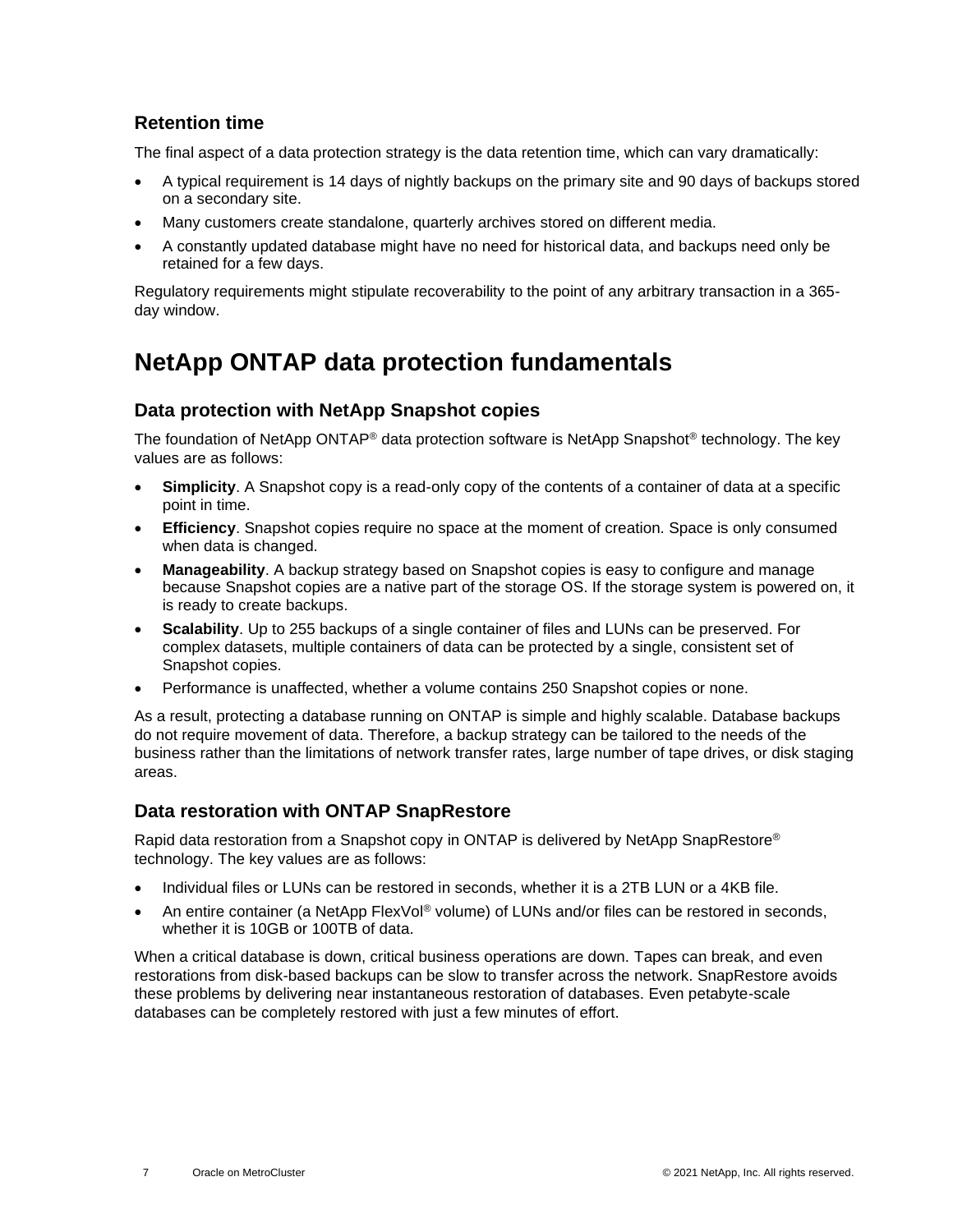### <span id="page-6-0"></span>**Retention time**

The final aspect of a data protection strategy is the data retention time, which can vary dramatically:

- A typical requirement is 14 days of nightly backups on the primary site and 90 days of backups stored on a secondary site.
- Many customers create standalone, quarterly archives stored on different media.
- A constantly updated database might have no need for historical data, and backups need only be retained for a few days.

Regulatory requirements might stipulate recoverability to the point of any arbitrary transaction in a 365 day window.

## <span id="page-6-1"></span>**NetApp ONTAP data protection fundamentals**

### <span id="page-6-2"></span>**Data protection with NetApp Snapshot copies**

The foundation of NetApp ONTAP® data protection software is NetApp Snapshot® technology. The key values are as follows:

- **Simplicity**. A Snapshot copy is a read-only copy of the contents of a container of data at a specific point in time.
- **Efficiency**. Snapshot copies require no space at the moment of creation. Space is only consumed when data is changed.
- **Manageability**. A backup strategy based on Snapshot copies is easy to configure and manage because Snapshot copies are a native part of the storage OS. If the storage system is powered on, it is ready to create backups.
- **Scalability**. Up to 255 backups of a single container of files and LUNs can be preserved. For complex datasets, multiple containers of data can be protected by a single, consistent set of Snapshot copies.
- Performance is unaffected, whether a volume contains 250 Snapshot copies or none.

As a result, protecting a database running on ONTAP is simple and highly scalable. Database backups do not require movement of data. Therefore, a backup strategy can be tailored to the needs of the business rather than the limitations of network transfer rates, large number of tape drives, or disk staging areas.

### <span id="page-6-3"></span>**Data restoration with ONTAP SnapRestore**

Rapid data restoration from a Snapshot copy in ONTAP is delivered by NetApp SnapRestore® technology. The key values are as follows:

- Individual files or LUNs can be restored in seconds, whether it is a 2TB LUN or a 4KB file.
- An entire container (a NetApp FlexVol<sup>®</sup> volume) of LUNs and/or files can be restored in seconds, whether it is 10GB or 100TB of data.

When a critical database is down, critical business operations are down. Tapes can break, and even restorations from disk-based backups can be slow to transfer across the network. SnapRestore avoids these problems by delivering near instantaneous restoration of databases. Even petabyte-scale databases can be completely restored with just a few minutes of effort.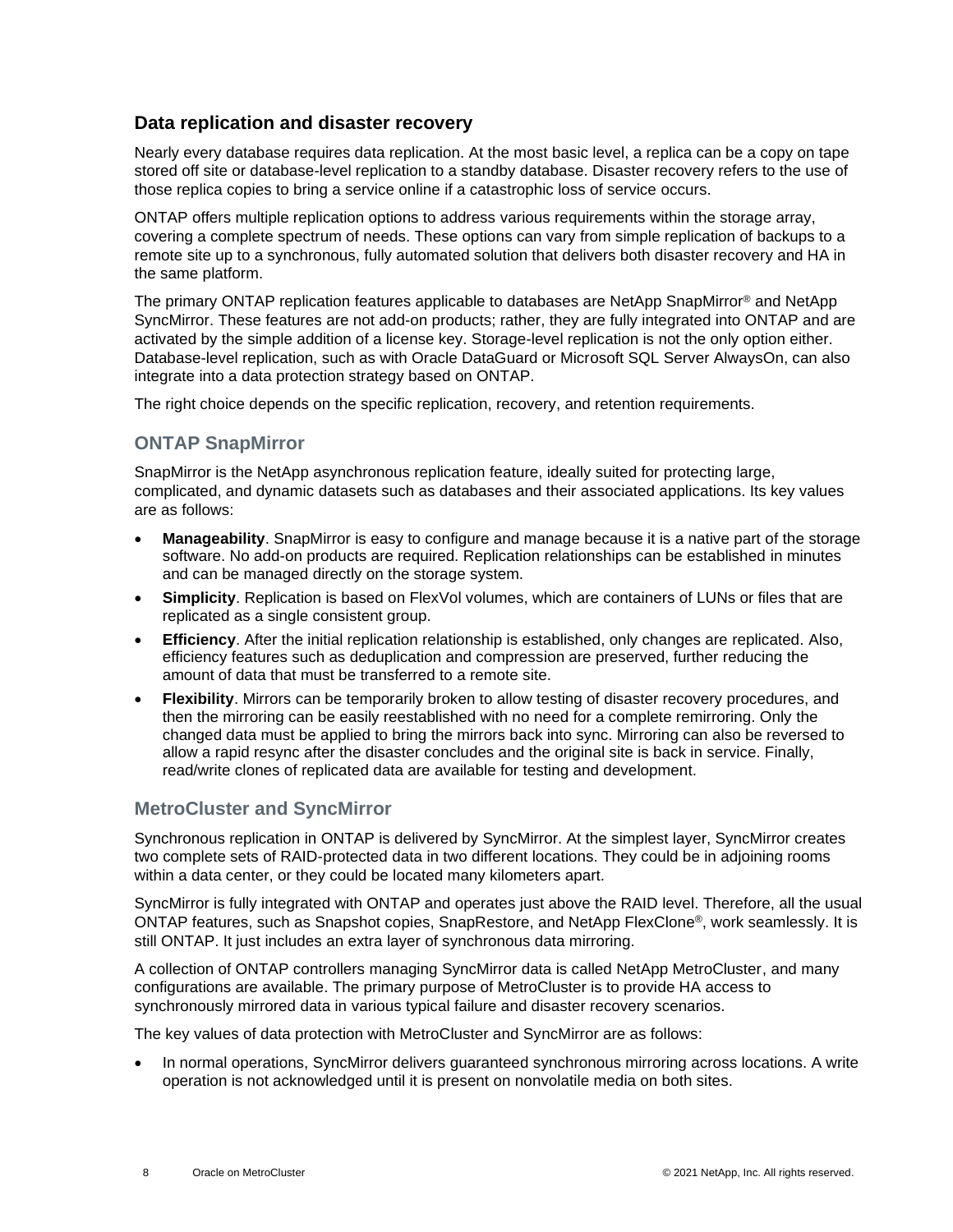### <span id="page-7-0"></span>**Data replication and disaster recovery**

Nearly every database requires data replication. At the most basic level, a replica can be a copy on tape stored off site or database-level replication to a standby database. Disaster recovery refers to the use of those replica copies to bring a service online if a catastrophic loss of service occurs.

ONTAP offers multiple replication options to address various requirements within the storage array, covering a complete spectrum of needs. These options can vary from simple replication of backups to a remote site up to a synchronous, fully automated solution that delivers both disaster recovery and HA in the same platform.

The primary ONTAP replication features applicable to databases are NetApp SnapMirror® and NetApp SyncMirror. These features are not add-on products; rather, they are fully integrated into ONTAP and are activated by the simple addition of a license key. Storage-level replication is not the only option either. Database-level replication, such as with Oracle DataGuard or Microsoft SQL Server AlwaysOn, can also integrate into a data protection strategy based on ONTAP.

The right choice depends on the specific replication, recovery, and retention requirements.

### **ONTAP SnapMirror**

SnapMirror is the NetApp asynchronous replication feature, ideally suited for protecting large, complicated, and dynamic datasets such as databases and their associated applications. Its key values are as follows:

- **Manageability**. SnapMirror is easy to configure and manage because it is a native part of the storage software. No add-on products are required. Replication relationships can be established in minutes and can be managed directly on the storage system.
- **Simplicity**. Replication is based on FlexVol volumes, which are containers of LUNs or files that are replicated as a single consistent group.
- **Efficiency**. After the initial replication relationship is established, only changes are replicated. Also, efficiency features such as deduplication and compression are preserved, further reducing the amount of data that must be transferred to a remote site.
- **Flexibility**. Mirrors can be temporarily broken to allow testing of disaster recovery procedures, and then the mirroring can be easily reestablished with no need for a complete remirroring. Only the changed data must be applied to bring the mirrors back into sync. Mirroring can also be reversed to allow a rapid resync after the disaster concludes and the original site is back in service. Finally, read/write clones of replicated data are available for testing and development.

### **MetroCluster and SyncMirror**

Synchronous replication in ONTAP is delivered by SyncMirror. At the simplest layer, SyncMirror creates two complete sets of RAID-protected data in two different locations. They could be in adjoining rooms within a data center, or they could be located many kilometers apart.

SyncMirror is fully integrated with ONTAP and operates just above the RAID level. Therefore, all the usual ONTAP features, such as Snapshot copies, SnapRestore, and NetApp FlexClone®, work seamlessly. It is still ONTAP. It just includes an extra layer of synchronous data mirroring.

A collection of ONTAP controllers managing SyncMirror data is called NetApp MetroCluster, and many configurations are available. The primary purpose of MetroCluster is to provide HA access to synchronously mirrored data in various typical failure and disaster recovery scenarios.

The key values of data protection with MetroCluster and SyncMirror are as follows:

• In normal operations, SyncMirror delivers guaranteed synchronous mirroring across locations. A write operation is not acknowledged until it is present on nonvolatile media on both sites.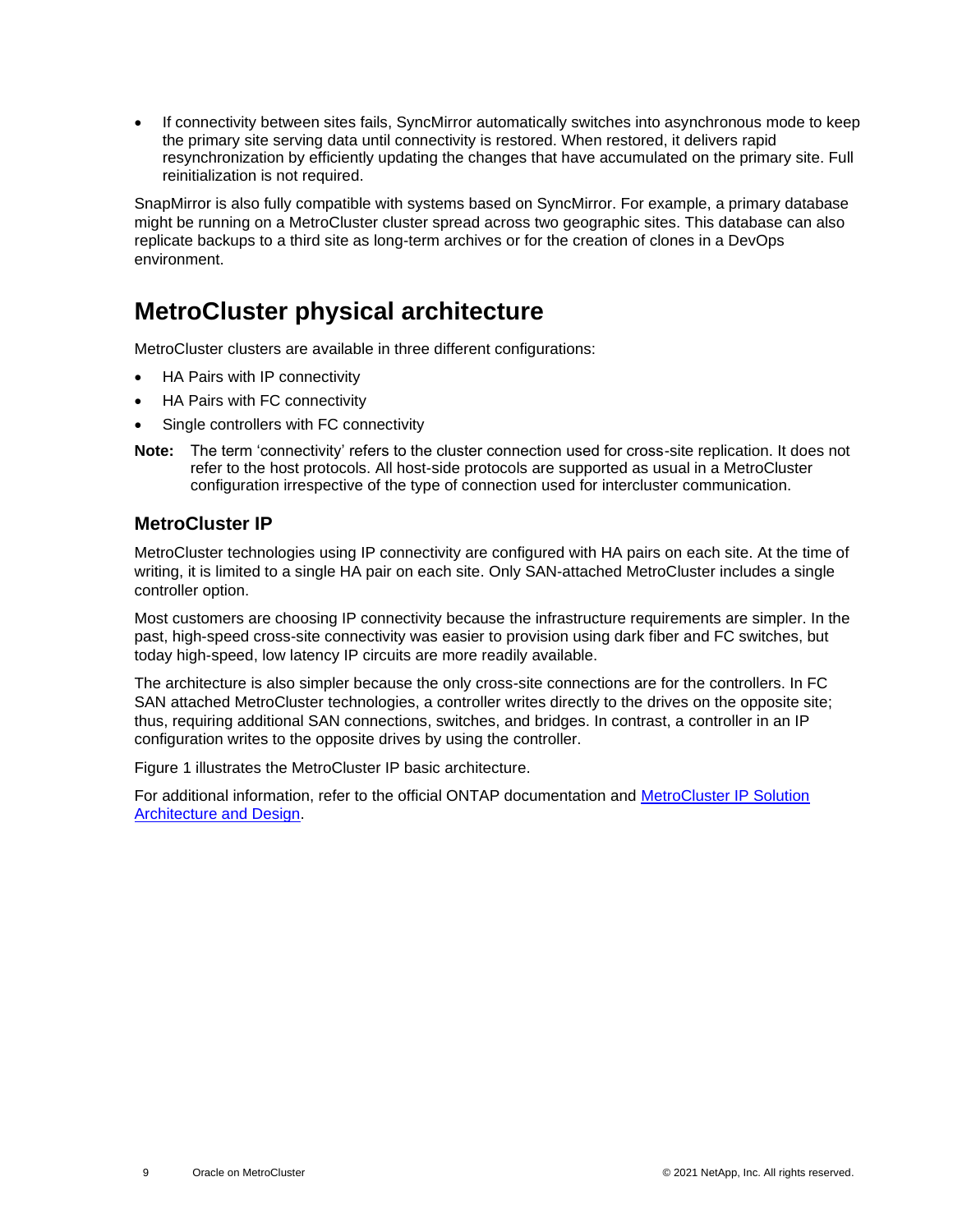• If connectivity between sites fails, SyncMirror automatically switches into asynchronous mode to keep the primary site serving data until connectivity is restored. When restored, it delivers rapid resynchronization by efficiently updating the changes that have accumulated on the primary site. Full reinitialization is not required.

SnapMirror is also fully compatible with systems based on SyncMirror. For example, a primary database might be running on a MetroCluster cluster spread across two geographic sites. This database can also replicate backups to a third site as long-term archives or for the creation of clones in a DevOps environment.

## <span id="page-8-0"></span>**MetroCluster physical architecture**

MetroCluster clusters are available in three different configurations:

- HA Pairs with IP connectivity
- HA Pairs with FC connectivity
- Single controllers with FC connectivity
- **Note:** The term 'connectivity' refers to the cluster connection used for cross-site replication. It does not refer to the host protocols. All host-side protocols are supported as usual in a MetroCluster configuration irrespective of the type of connection used for intercluster communication.

### <span id="page-8-1"></span>**MetroCluster IP**

MetroCluster technologies using IP connectivity are configured with HA pairs on each site. At the time of writing, it is limited to a single HA pair on each site. Only SAN-attached MetroCluster includes a single controller option.

Most customers are choosing IP connectivity because the infrastructure requirements are simpler. In the past, high-speed cross-site connectivity was easier to provision using dark fiber and FC switches, but today high-speed, low latency IP circuits are more readily available.

The architecture is also simpler because the only cross-site connections are for the controllers. In FC SAN attached MetroCluster technologies, a controller writes directly to the drives on the opposite site; thus, requiring additional SAN connections, switches, and bridges. In contrast, a controller in an IP configuration writes to the opposite drives by using the controller.

[Figure 1](#page-9-1) illustrates the MetroCluster IP basic architecture.

For additional information, refer to the official ONTAP documentation and [MetroCluster IP Solution](https://www.netapp.com/pdf.html?item=/media/13481-tr4689.pdf)  [Architecture and Design.](https://www.netapp.com/pdf.html?item=/media/13481-tr4689.pdf)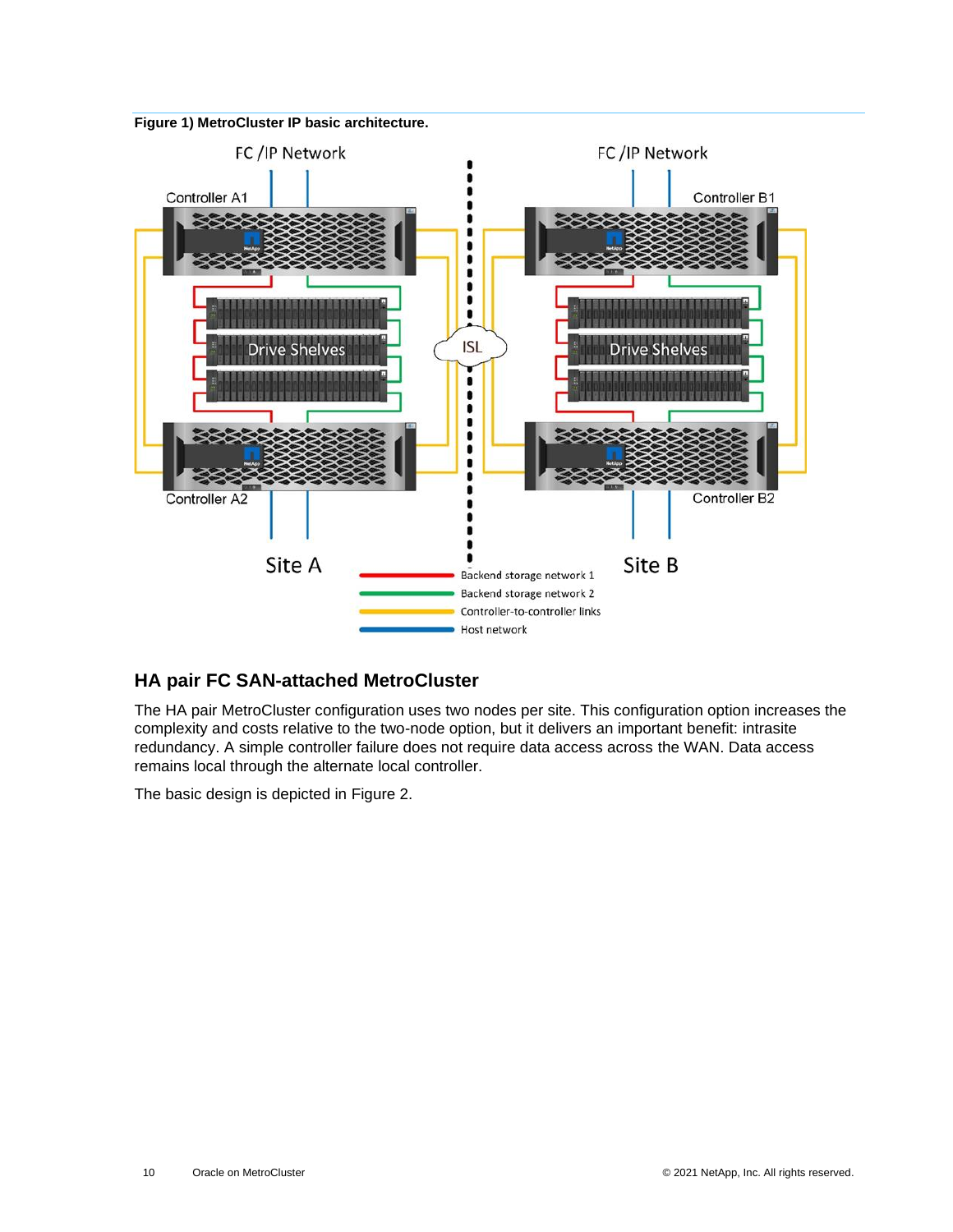<span id="page-9-1"></span>



## <span id="page-9-0"></span>**HA pair FC SAN-attached MetroCluster**

The HA pair MetroCluster configuration uses two nodes per site. This configuration option increases the complexity and costs relative to the two-node option, but it delivers an important benefit: intrasite redundancy. A simple controller failure does not require data access across the WAN. Data access remains local through the alternate local controller.

The basic design is depicted in [Figure 2.](#page-10-0)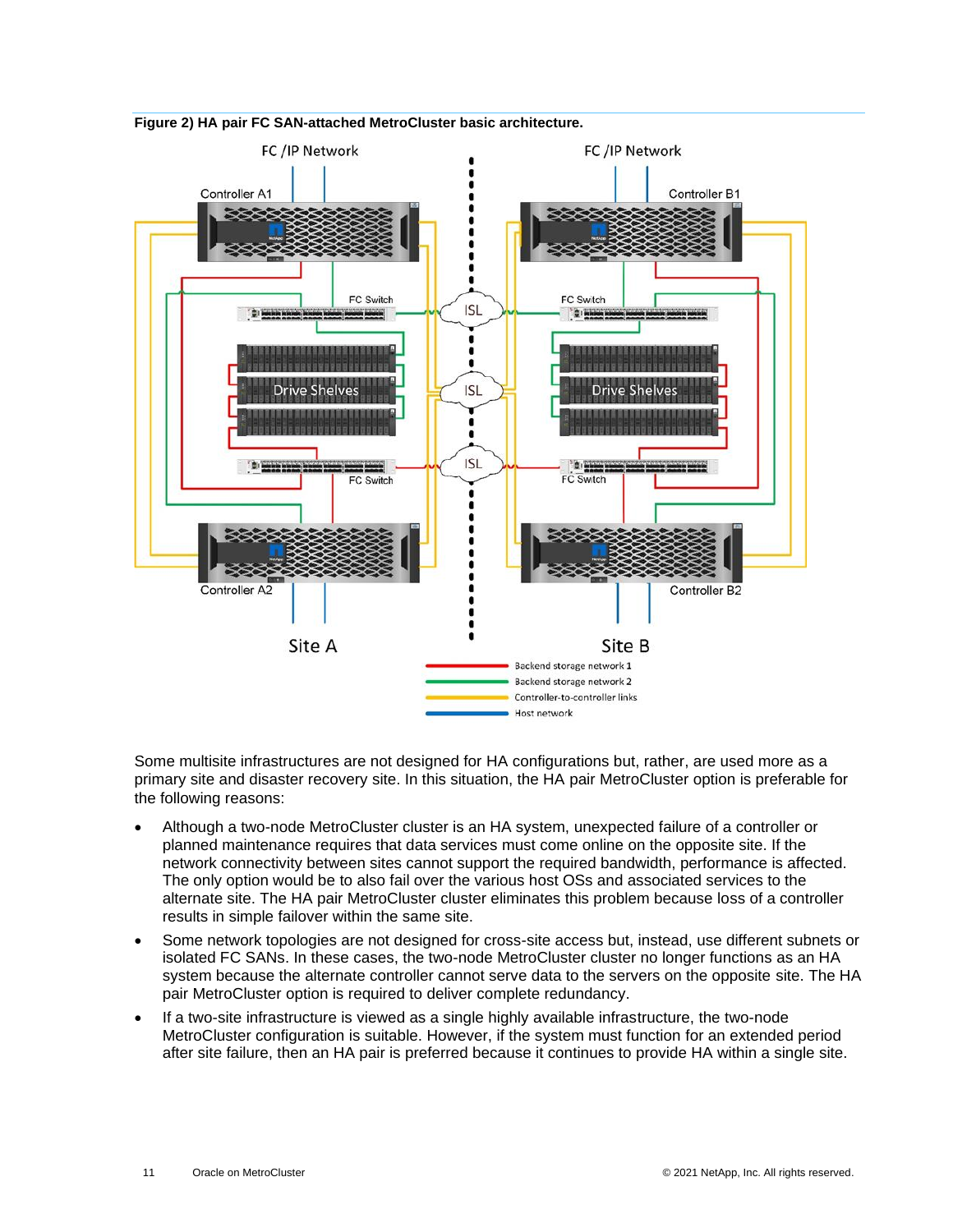

#### <span id="page-10-0"></span>**Figure 2) HA pair FC SAN-attached MetroCluster basic architecture.**

Some multisite infrastructures are not designed for HA configurations but, rather, are used more as a primary site and disaster recovery site. In this situation, the HA pair MetroCluster option is preferable for the following reasons:

- Although a two-node MetroCluster cluster is an HA system, unexpected failure of a controller or planned maintenance requires that data services must come online on the opposite site. If the network connectivity between sites cannot support the required bandwidth, performance is affected. The only option would be to also fail over the various host OSs and associated services to the alternate site. The HA pair MetroCluster cluster eliminates this problem because loss of a controller results in simple failover within the same site.
- Some network topologies are not designed for cross-site access but, instead, use different subnets or isolated FC SANs. In these cases, the two-node MetroCluster cluster no longer functions as an HA system because the alternate controller cannot serve data to the servers on the opposite site. The HA pair MetroCluster option is required to deliver complete redundancy.
- If a two-site infrastructure is viewed as a single highly available infrastructure, the two-node MetroCluster configuration is suitable. However, if the system must function for an extended period after site failure, then an HA pair is preferred because it continues to provide HA within a single site.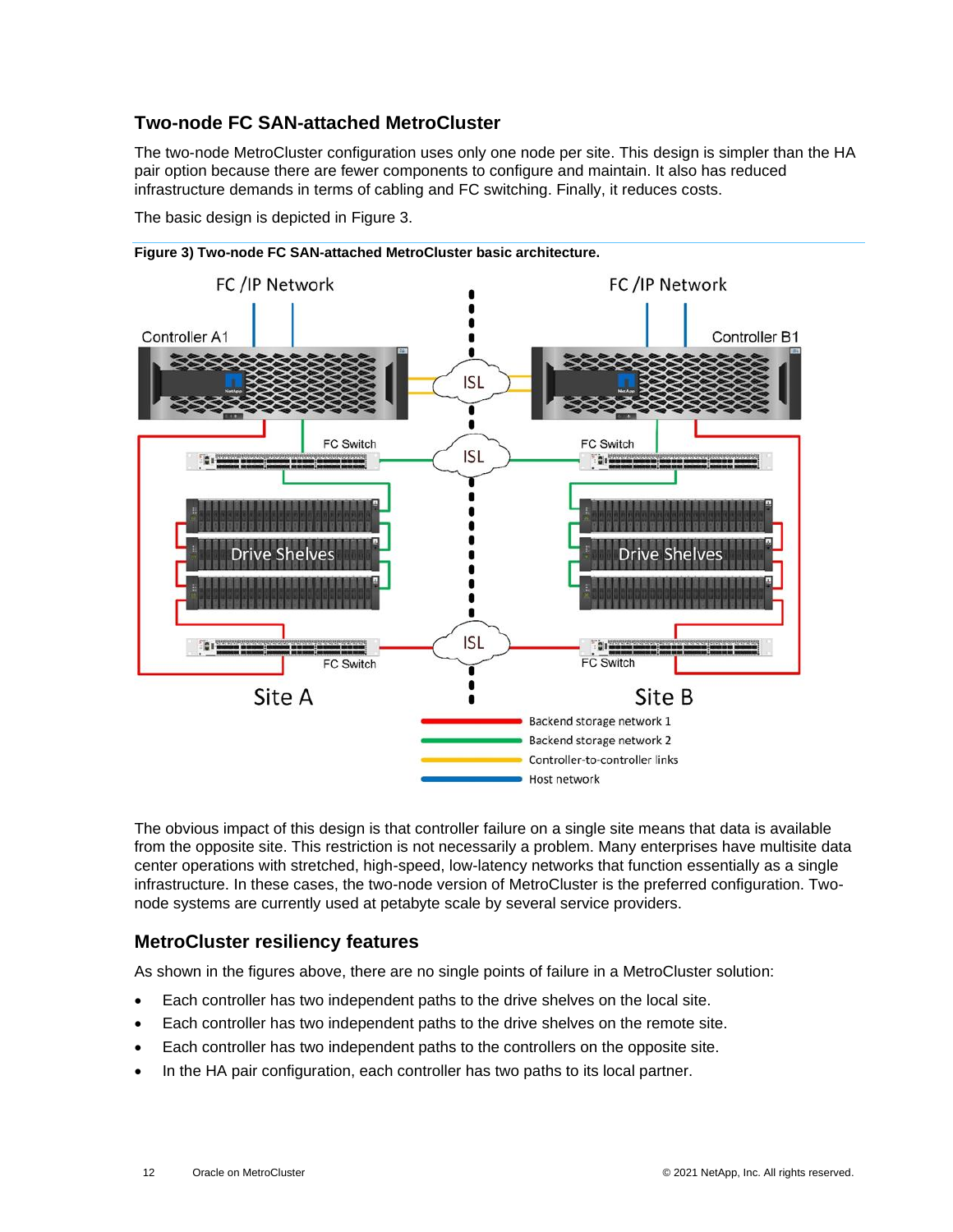## <span id="page-11-0"></span>**Two-node FC SAN-attached MetroCluster**

The two-node MetroCluster configuration uses only one node per site. This design is simpler than the HA pair option because there are fewer components to configure and maintain. It also has reduced infrastructure demands in terms of cabling and FC switching. Finally, it reduces costs.

The basic design is depicted in [Figure 3.](#page-11-2)



<span id="page-11-2"></span>

The obvious impact of this design is that controller failure on a single site means that data is available from the opposite site. This restriction is not necessarily a problem. Many enterprises have multisite data center operations with stretched, high-speed, low-latency networks that function essentially as a single infrastructure. In these cases, the two-node version of MetroCluster is the preferred configuration. Twonode systems are currently used at petabyte scale by several service providers.

## <span id="page-11-1"></span>**MetroCluster resiliency features**

As shown in the figures above, there are no single points of failure in a MetroCluster solution:

- Each controller has two independent paths to the drive shelves on the local site.
- Each controller has two independent paths to the drive shelves on the remote site.
- Each controller has two independent paths to the controllers on the opposite site.
- In the HA pair configuration, each controller has two paths to its local partner.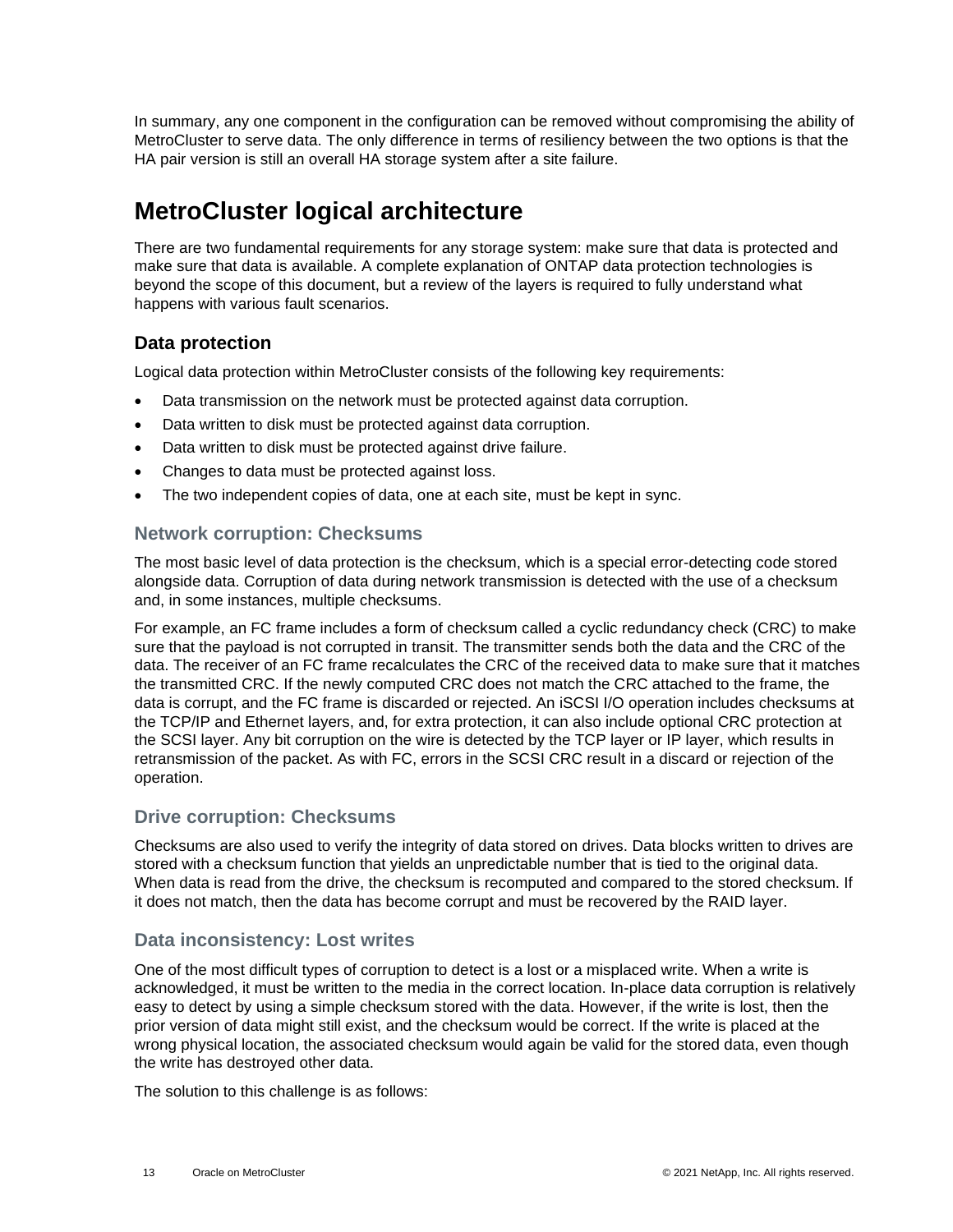In summary, any one component in the configuration can be removed without compromising the ability of MetroCluster to serve data. The only difference in terms of resiliency between the two options is that the HA pair version is still an overall HA storage system after a site failure.

# <span id="page-12-0"></span>**MetroCluster logical architecture**

There are two fundamental requirements for any storage system: make sure that data is protected and make sure that data is available. A complete explanation of ONTAP data protection technologies is beyond the scope of this document, but a review of the layers is required to fully understand what happens with various fault scenarios.

## <span id="page-12-1"></span>**Data protection**

Logical data protection within MetroCluster consists of the following key requirements:

- Data transmission on the network must be protected against data corruption.
- Data written to disk must be protected against data corruption.
- Data written to disk must be protected against drive failure.
- Changes to data must be protected against loss.
- The two independent copies of data, one at each site, must be kept in sync.

### **Network corruption: Checksums**

The most basic level of data protection is the checksum, which is a special error-detecting code stored alongside data. Corruption of data during network transmission is detected with the use of a checksum and, in some instances, multiple checksums.

For example, an FC frame includes a form of checksum called a cyclic redundancy check (CRC) to make sure that the payload is not corrupted in transit. The transmitter sends both the data and the CRC of the data. The receiver of an FC frame recalculates the CRC of the received data to make sure that it matches the transmitted CRC. If the newly computed CRC does not match the CRC attached to the frame, the data is corrupt, and the FC frame is discarded or rejected. An iSCSI I/O operation includes checksums at the TCP/IP and Ethernet layers, and, for extra protection, it can also include optional CRC protection at the SCSI layer. Any bit corruption on the wire is detected by the TCP layer or IP layer, which results in retransmission of the packet. As with FC, errors in the SCSI CRC result in a discard or rejection of the operation.

### **Drive corruption: Checksums**

Checksums are also used to verify the integrity of data stored on drives. Data blocks written to drives are stored with a checksum function that yields an unpredictable number that is tied to the original data. When data is read from the drive, the checksum is recomputed and compared to the stored checksum. If it does not match, then the data has become corrupt and must be recovered by the RAID layer.

## **Data inconsistency: Lost writes**

One of the most difficult types of corruption to detect is a lost or a misplaced write. When a write is acknowledged, it must be written to the media in the correct location. In-place data corruption is relatively easy to detect by using a simple checksum stored with the data. However, if the write is lost, then the prior version of data might still exist, and the checksum would be correct. If the write is placed at the wrong physical location, the associated checksum would again be valid for the stored data, even though the write has destroyed other data.

The solution to this challenge is as follows: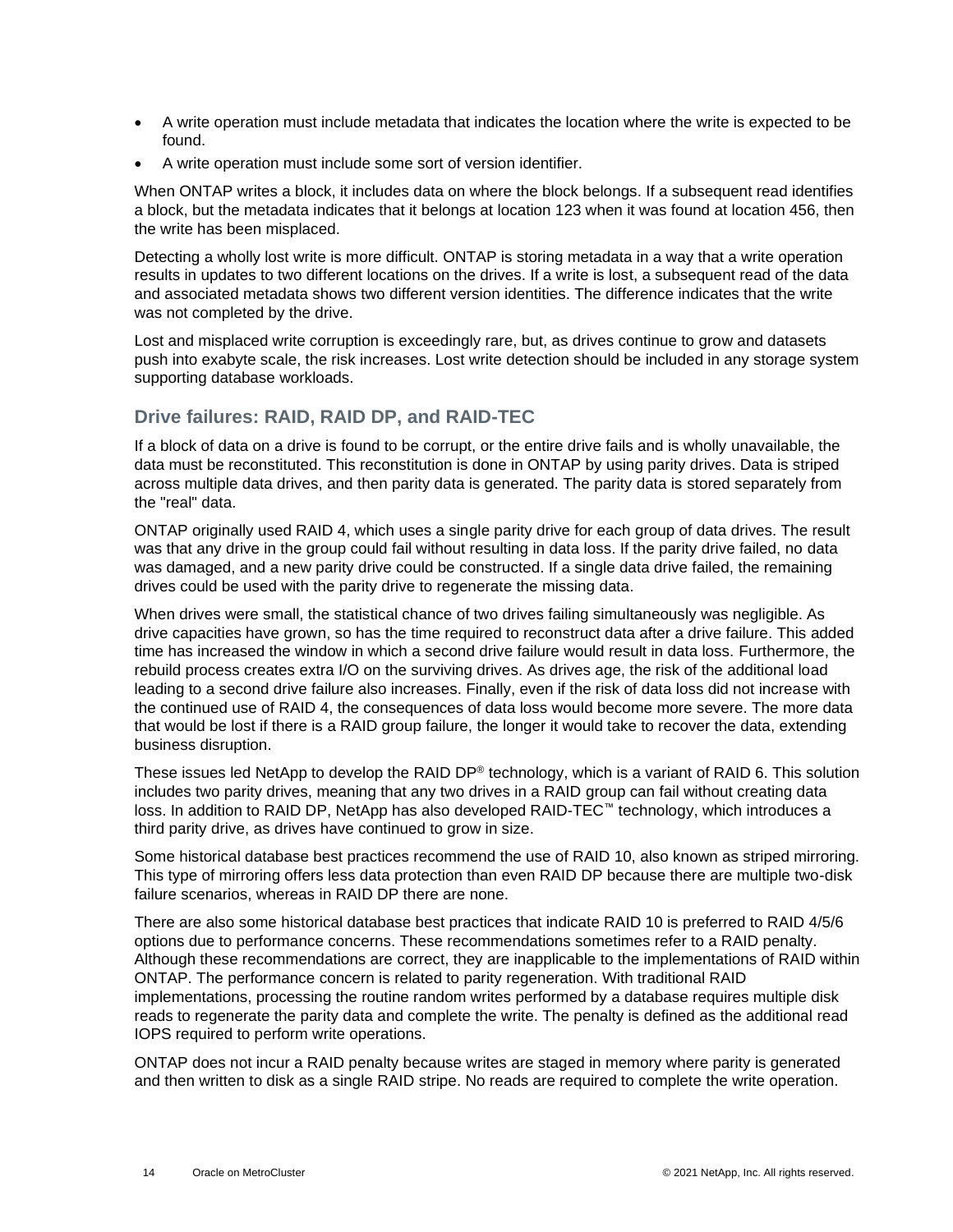- A write operation must include metadata that indicates the location where the write is expected to be found.
- A write operation must include some sort of version identifier.

When ONTAP writes a block, it includes data on where the block belongs. If a subsequent read identifies a block, but the metadata indicates that it belongs at location 123 when it was found at location 456, then the write has been misplaced.

Detecting a wholly lost write is more difficult. ONTAP is storing metadata in a way that a write operation results in updates to two different locations on the drives. If a write is lost, a subsequent read of the data and associated metadata shows two different version identities. The difference indicates that the write was not completed by the drive.

Lost and misplaced write corruption is exceedingly rare, but, as drives continue to grow and datasets push into exabyte scale, the risk increases. Lost write detection should be included in any storage system supporting database workloads.

## **Drive failures: RAID, RAID DP, and RAID-TEC**

If a block of data on a drive is found to be corrupt, or the entire drive fails and is wholly unavailable, the data must be reconstituted. This reconstitution is done in ONTAP by using parity drives. Data is striped across multiple data drives, and then parity data is generated. The parity data is stored separately from the "real" data.

ONTAP originally used RAID 4, which uses a single parity drive for each group of data drives. The result was that any drive in the group could fail without resulting in data loss. If the parity drive failed, no data was damaged, and a new parity drive could be constructed. If a single data drive failed, the remaining drives could be used with the parity drive to regenerate the missing data.

When drives were small, the statistical chance of two drives failing simultaneously was negligible. As drive capacities have grown, so has the time required to reconstruct data after a drive failure. This added time has increased the window in which a second drive failure would result in data loss. Furthermore, the rebuild process creates extra I/O on the surviving drives. As drives age, the risk of the additional load leading to a second drive failure also increases. Finally, even if the risk of data loss did not increase with the continued use of RAID 4, the consequences of data loss would become more severe. The more data that would be lost if there is a RAID group failure, the longer it would take to recover the data, extending business disruption.

These issues led NetApp to develop the RAID DP® technology, which is a variant of RAID 6. This solution includes two parity drives, meaning that any two drives in a RAID group can fail without creating data loss. In addition to RAID DP, NetApp has also developed RAID-TEC™ technology, which introduces a third parity drive, as drives have continued to grow in size.

Some historical database best practices recommend the use of RAID 10, also known as striped mirroring. This type of mirroring offers less data protection than even RAID DP because there are multiple two-disk failure scenarios, whereas in RAID DP there are none.

There are also some historical database best practices that indicate RAID 10 is preferred to RAID 4/5/6 options due to performance concerns. These recommendations sometimes refer to a RAID penalty. Although these recommendations are correct, they are inapplicable to the implementations of RAID within ONTAP. The performance concern is related to parity regeneration. With traditional RAID implementations, processing the routine random writes performed by a database requires multiple disk reads to regenerate the parity data and complete the write. The penalty is defined as the additional read IOPS required to perform write operations.

ONTAP does not incur a RAID penalty because writes are staged in memory where parity is generated and then written to disk as a single RAID stripe. No reads are required to complete the write operation.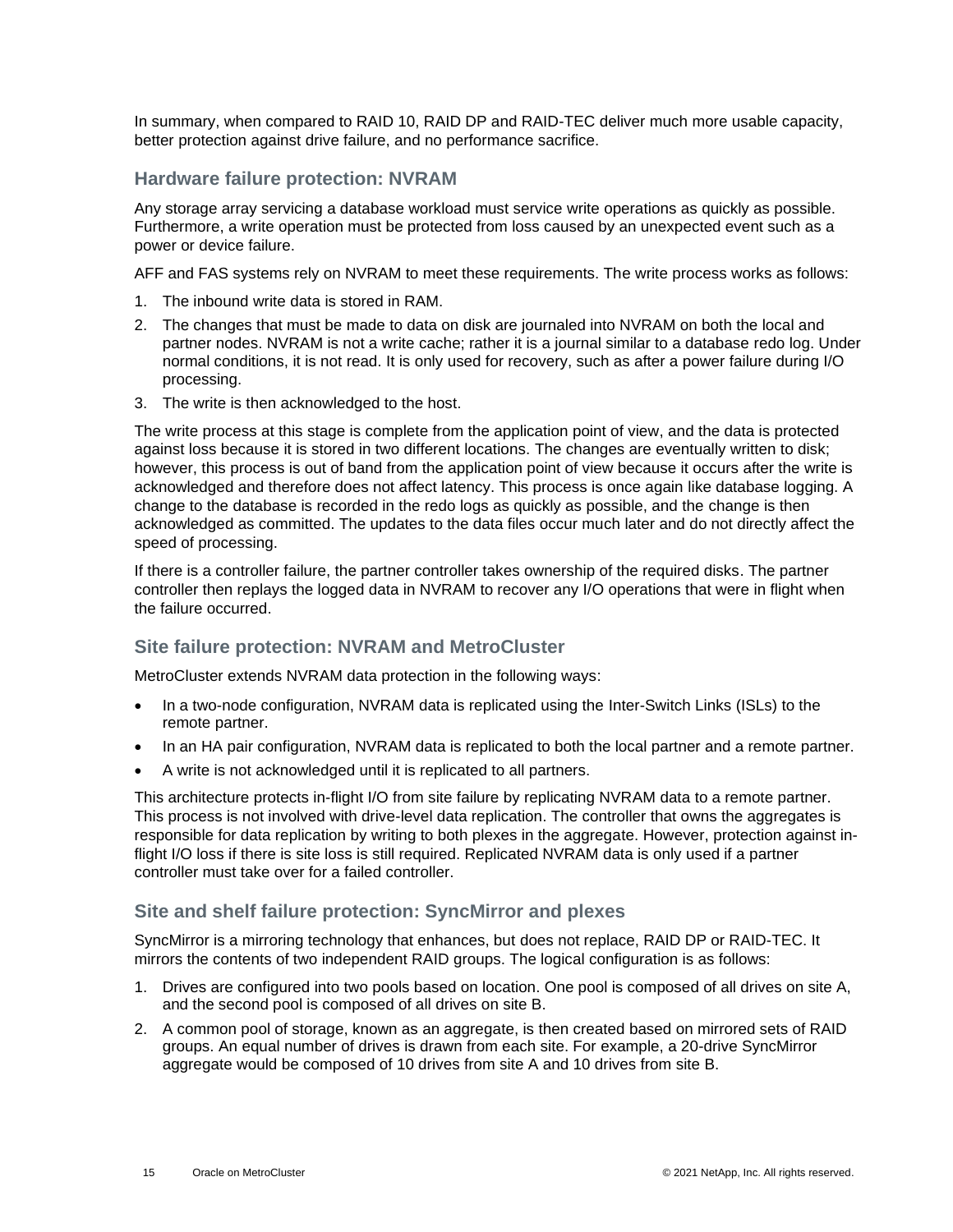In summary, when compared to RAID 10, RAID DP and RAID-TEC deliver much more usable capacity, better protection against drive failure, and no performance sacrifice.

#### **Hardware failure protection: NVRAM**

Any storage array servicing a database workload must service write operations as quickly as possible. Furthermore, a write operation must be protected from loss caused by an unexpected event such as a power or device failure.

AFF and FAS systems rely on NVRAM to meet these requirements. The write process works as follows:

- 1. The inbound write data is stored in RAM.
- 2. The changes that must be made to data on disk are journaled into NVRAM on both the local and partner nodes. NVRAM is not a write cache; rather it is a journal similar to a database redo log. Under normal conditions, it is not read. It is only used for recovery, such as after a power failure during I/O processing.
- 3. The write is then acknowledged to the host.

The write process at this stage is complete from the application point of view, and the data is protected against loss because it is stored in two different locations. The changes are eventually written to disk; however, this process is out of band from the application point of view because it occurs after the write is acknowledged and therefore does not affect latency. This process is once again like database logging. A change to the database is recorded in the redo logs as quickly as possible, and the change is then acknowledged as committed. The updates to the data files occur much later and do not directly affect the speed of processing.

If there is a controller failure, the partner controller takes ownership of the required disks. The partner controller then replays the logged data in NVRAM to recover any I/O operations that were in flight when the failure occurred.

### **Site failure protection: NVRAM and MetroCluster**

MetroCluster extends NVRAM data protection in the following ways:

- In a two-node configuration, NVRAM data is replicated using the Inter-Switch Links (ISLs) to the remote partner.
- In an HA pair configuration, NVRAM data is replicated to both the local partner and a remote partner.
- A write is not acknowledged until it is replicated to all partners.

This architecture protects in-flight I/O from site failure by replicating NVRAM data to a remote partner. This process is not involved with drive-level data replication. The controller that owns the aggregates is responsible for data replication by writing to both plexes in the aggregate. However, protection against inflight I/O loss if there is site loss is still required. Replicated NVRAM data is only used if a partner controller must take over for a failed controller.

### **Site and shelf failure protection: SyncMirror and plexes**

SyncMirror is a mirroring technology that enhances, but does not replace, RAID DP or RAID-TEC. It mirrors the contents of two independent RAID groups. The logical configuration is as follows:

- 1. Drives are configured into two pools based on location. One pool is composed of all drives on site A, and the second pool is composed of all drives on site B.
- 2. A common pool of storage, known as an aggregate, is then created based on mirrored sets of RAID groups. An equal number of drives is drawn from each site. For example, a 20-drive SyncMirror aggregate would be composed of 10 drives from site A and 10 drives from site B.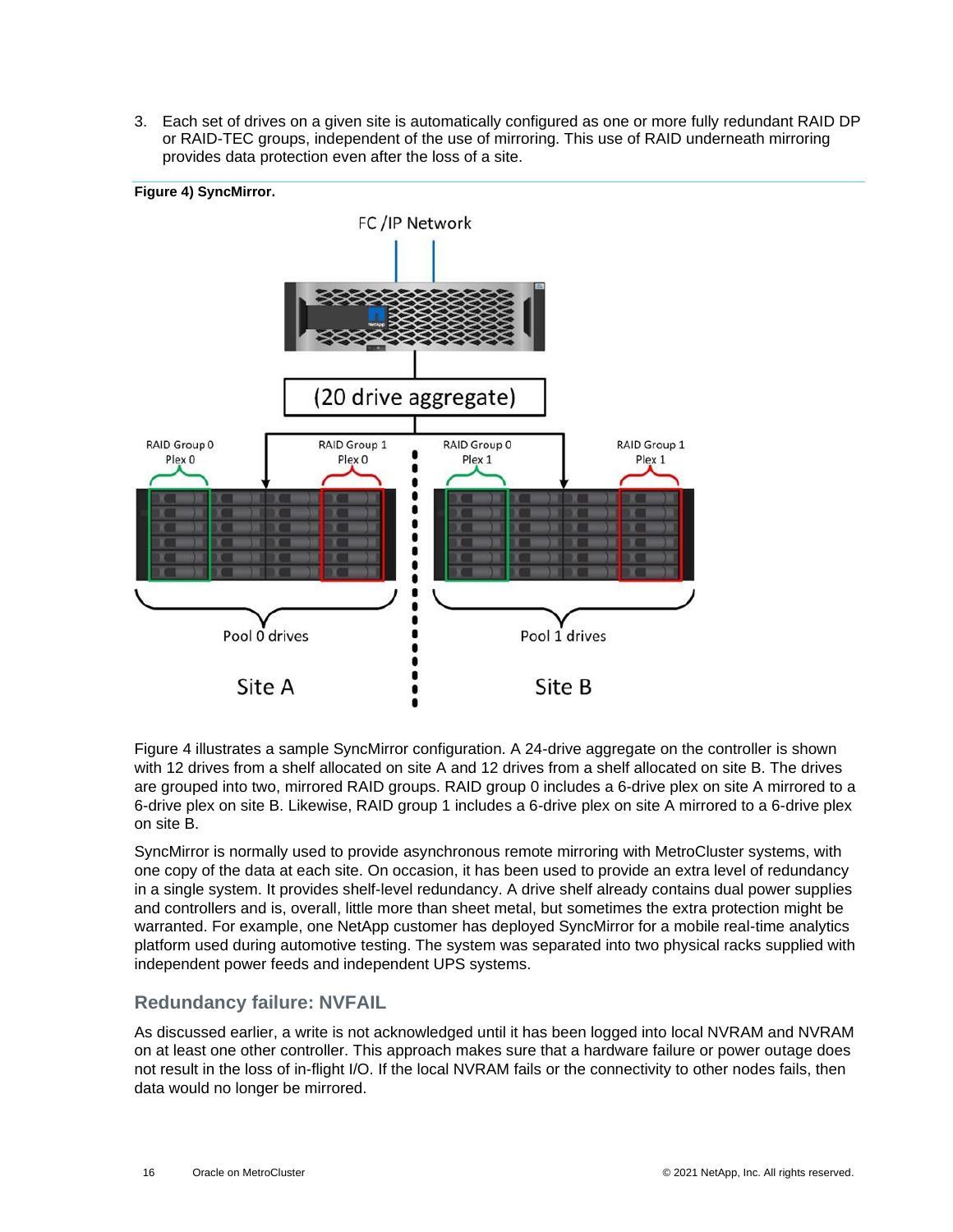3. Each set of drives on a given site is automatically configured as one or more fully redundant RAID DP or RAID-TEC groups, independent of the use of mirroring. This use of RAID underneath mirroring provides data protection even after the loss of a site.

<span id="page-15-0"></span>

[Figure 4](#page-15-0) illustrates a sample SyncMirror configuration. A 24-drive aggregate on the controller is shown with 12 drives from a shelf allocated on site A and 12 drives from a shelf allocated on site B. The drives are grouped into two, mirrored RAID groups. RAID group 0 includes a 6-drive plex on site A mirrored to a 6-drive plex on site B. Likewise, RAID group 1 includes a 6-drive plex on site A mirrored to a 6-drive plex on site B.

SyncMirror is normally used to provide asynchronous remote mirroring with MetroCluster systems, with one copy of the data at each site. On occasion, it has been used to provide an extra level of redundancy in a single system. It provides shelf-level redundancy. A drive shelf already contains dual power supplies and controllers and is, overall, little more than sheet metal, but sometimes the extra protection might be warranted. For example, one NetApp customer has deployed SyncMirror for a mobile real-time analytics platform used during automotive testing. The system was separated into two physical racks supplied with independent power feeds and independent UPS systems.

### **Redundancy failure: NVFAIL**

As discussed earlier, a write is not acknowledged until it has been logged into local NVRAM and NVRAM on at least one other controller. This approach makes sure that a hardware failure or power outage does not result in the loss of in-flight I/O. If the local NVRAM fails or the connectivity to other nodes fails, then data would no longer be mirrored.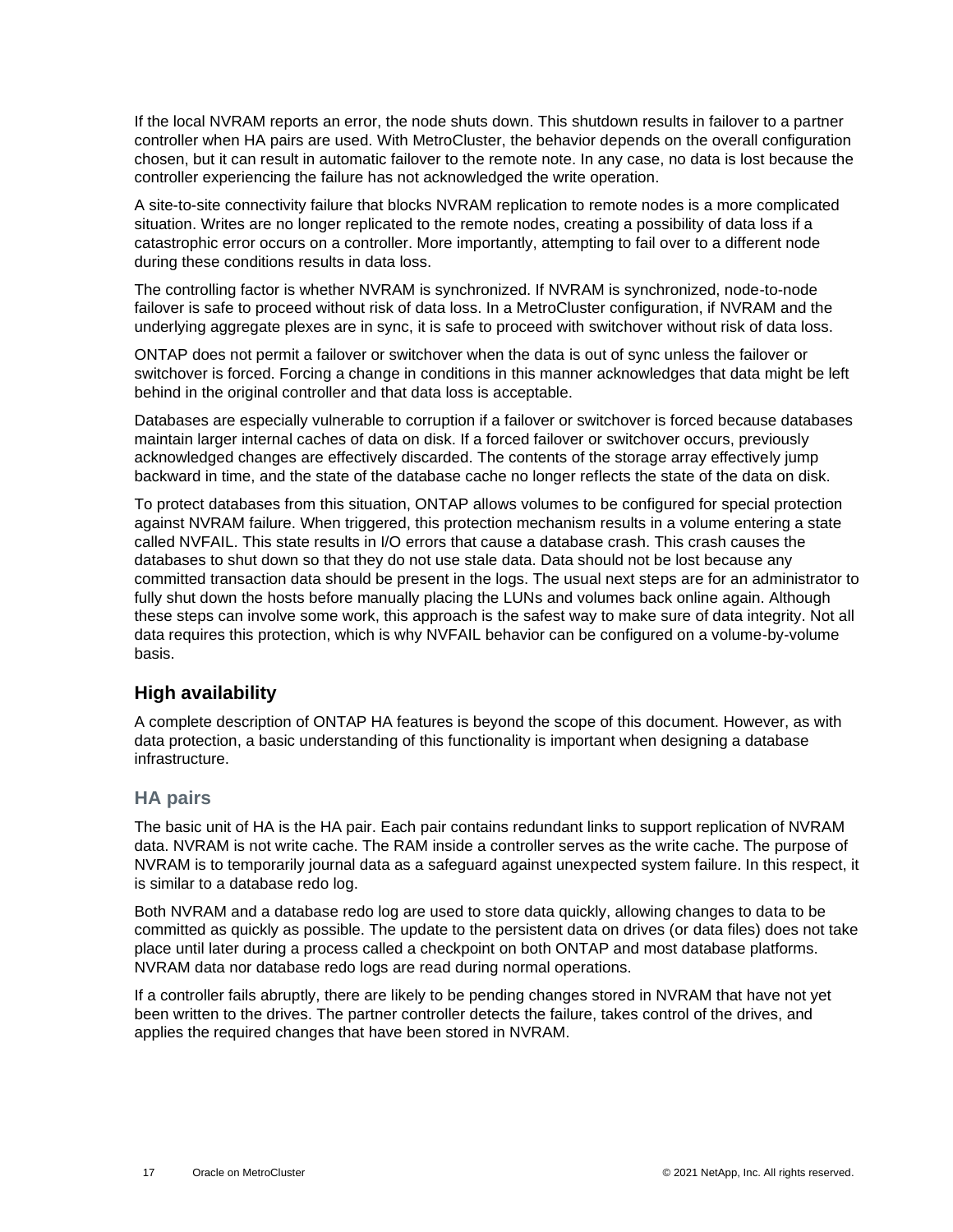If the local NVRAM reports an error, the node shuts down. This shutdown results in failover to a partner controller when HA pairs are used. With MetroCluster, the behavior depends on the overall configuration chosen, but it can result in automatic failover to the remote note. In any case, no data is lost because the controller experiencing the failure has not acknowledged the write operation.

A site-to-site connectivity failure that blocks NVRAM replication to remote nodes is a more complicated situation. Writes are no longer replicated to the remote nodes, creating a possibility of data loss if a catastrophic error occurs on a controller. More importantly, attempting to fail over to a different node during these conditions results in data loss.

The controlling factor is whether NVRAM is synchronized. If NVRAM is synchronized, node-to-node failover is safe to proceed without risk of data loss. In a MetroCluster configuration, if NVRAM and the underlying aggregate plexes are in sync, it is safe to proceed with switchover without risk of data loss.

ONTAP does not permit a failover or switchover when the data is out of sync unless the failover or switchover is forced. Forcing a change in conditions in this manner acknowledges that data might be left behind in the original controller and that data loss is acceptable.

Databases are especially vulnerable to corruption if a failover or switchover is forced because databases maintain larger internal caches of data on disk. If a forced failover or switchover occurs, previously acknowledged changes are effectively discarded. The contents of the storage array effectively jump backward in time, and the state of the database cache no longer reflects the state of the data on disk.

To protect databases from this situation, ONTAP allows volumes to be configured for special protection against NVRAM failure. When triggered, this protection mechanism results in a volume entering a state called NVFAIL. This state results in I/O errors that cause a database crash. This crash causes the databases to shut down so that they do not use stale data. Data should not be lost because any committed transaction data should be present in the logs. The usual next steps are for an administrator to fully shut down the hosts before manually placing the LUNs and volumes back online again. Although these steps can involve some work, this approach is the safest way to make sure of data integrity. Not all data requires this protection, which is why NVFAIL behavior can be configured on a volume-by-volume basis.

## <span id="page-16-0"></span>**High availability**

A complete description of ONTAP HA features is beyond the scope of this document. However, as with data protection, a basic understanding of this functionality is important when designing a database infrastructure.

### **HA pairs**

The basic unit of HA is the HA pair. Each pair contains redundant links to support replication of NVRAM data. NVRAM is not write cache. The RAM inside a controller serves as the write cache. The purpose of NVRAM is to temporarily journal data as a safeguard against unexpected system failure. In this respect, it is similar to a database redo log.

Both NVRAM and a database redo log are used to store data quickly, allowing changes to data to be committed as quickly as possible. The update to the persistent data on drives (or data files) does not take place until later during a process called a checkpoint on both ONTAP and most database platforms. NVRAM data nor database redo logs are read during normal operations.

If a controller fails abruptly, there are likely to be pending changes stored in NVRAM that have not yet been written to the drives. The partner controller detects the failure, takes control of the drives, and applies the required changes that have been stored in NVRAM.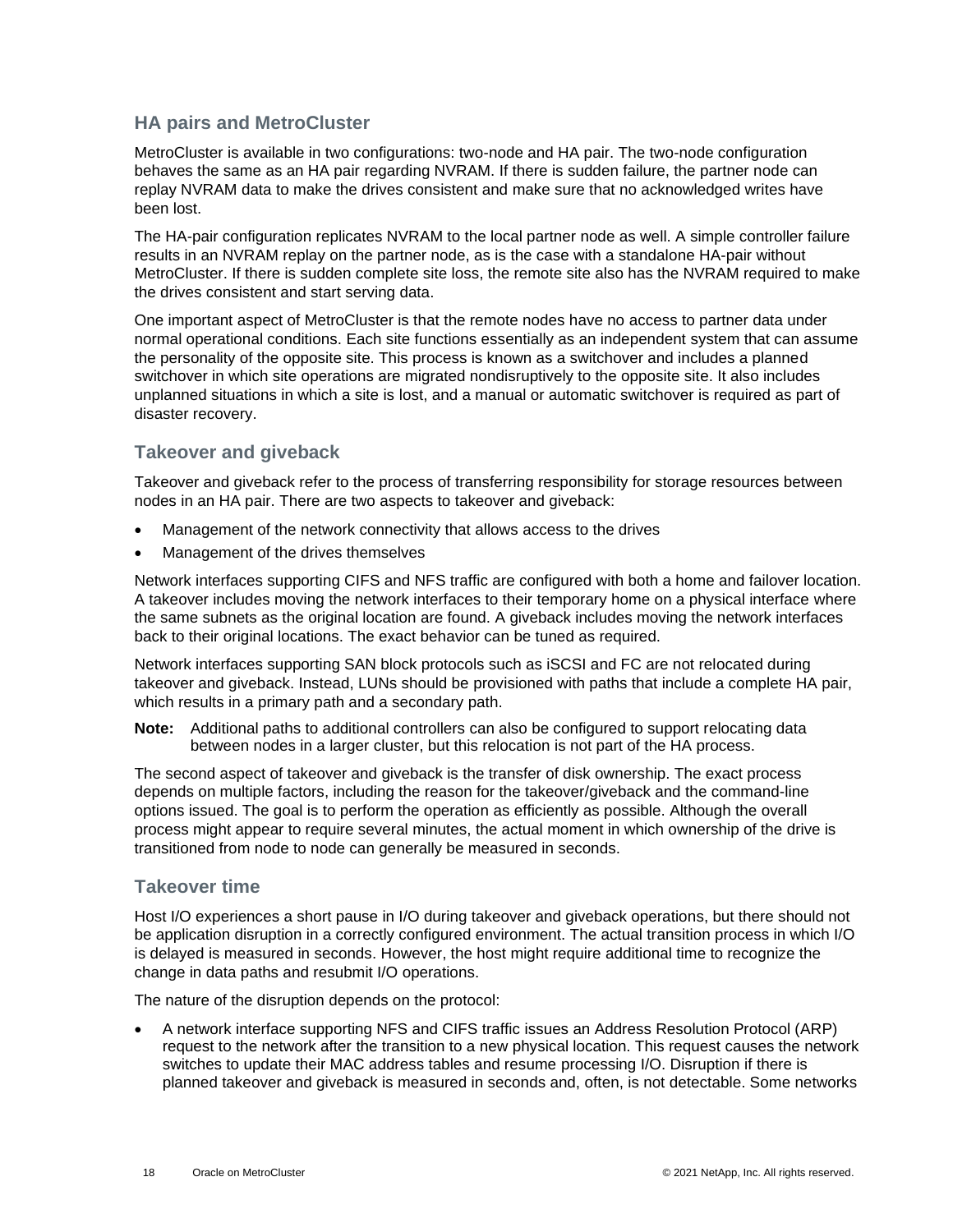### **HA pairs and MetroCluster**

MetroCluster is available in two configurations: two-node and HA pair. The two-node configuration behaves the same as an HA pair regarding NVRAM. If there is sudden failure, the partner node can replay NVRAM data to make the drives consistent and make sure that no acknowledged writes have been lost.

The HA-pair configuration replicates NVRAM to the local partner node as well. A simple controller failure results in an NVRAM replay on the partner node, as is the case with a standalone HA-pair without MetroCluster. If there is sudden complete site loss, the remote site also has the NVRAM required to make the drives consistent and start serving data.

One important aspect of MetroCluster is that the remote nodes have no access to partner data under normal operational conditions. Each site functions essentially as an independent system that can assume the personality of the opposite site. This process is known as a switchover and includes a planned switchover in which site operations are migrated nondisruptively to the opposite site. It also includes unplanned situations in which a site is lost, and a manual or automatic switchover is required as part of disaster recovery.

## **Takeover and giveback**

Takeover and giveback refer to the process of transferring responsibility for storage resources between nodes in an HA pair. There are two aspects to takeover and giveback:

- Management of the network connectivity that allows access to the drives
- Management of the drives themselves

Network interfaces supporting CIFS and NFS traffic are configured with both a home and failover location. A takeover includes moving the network interfaces to their temporary home on a physical interface where the same subnets as the original location are found. A giveback includes moving the network interfaces back to their original locations. The exact behavior can be tuned as required.

Network interfaces supporting SAN block protocols such as iSCSI and FC are not relocated during takeover and giveback. Instead, LUNs should be provisioned with paths that include a complete HA pair, which results in a primary path and a secondary path.

**Note:** Additional paths to additional controllers can also be configured to support relocating data between nodes in a larger cluster, but this relocation is not part of the HA process.

The second aspect of takeover and giveback is the transfer of disk ownership. The exact process depends on multiple factors, including the reason for the takeover/giveback and the command-line options issued. The goal is to perform the operation as efficiently as possible. Although the overall process might appear to require several minutes, the actual moment in which ownership of the drive is transitioned from node to node can generally be measured in seconds.

#### **Takeover time**

Host I/O experiences a short pause in I/O during takeover and giveback operations, but there should not be application disruption in a correctly configured environment. The actual transition process in which I/O is delayed is measured in seconds. However, the host might require additional time to recognize the change in data paths and resubmit I/O operations.

The nature of the disruption depends on the protocol:

• A network interface supporting NFS and CIFS traffic issues an Address Resolution Protocol (ARP) request to the network after the transition to a new physical location. This request causes the network switches to update their MAC address tables and resume processing I/O. Disruption if there is planned takeover and giveback is measured in seconds and, often, is not detectable. Some networks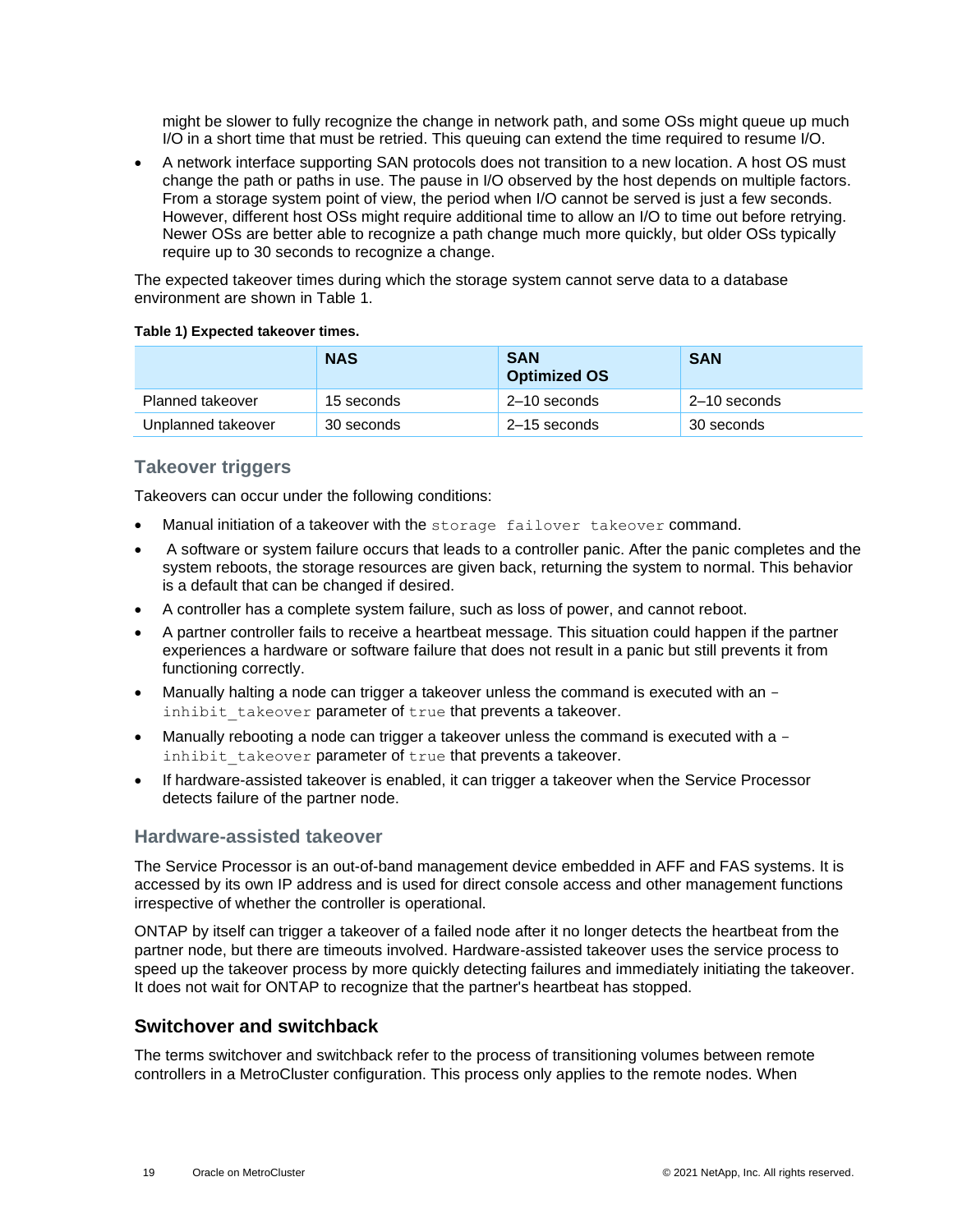might be slower to fully recognize the change in network path, and some OSs might queue up much I/O in a short time that must be retried. This queuing can extend the time required to resume I/O.

• A network interface supporting SAN protocols does not transition to a new location. A host OS must change the path or paths in use. The pause in I/O observed by the host depends on multiple factors. From a storage system point of view, the period when I/O cannot be served is just a few seconds. However, different host OSs might require additional time to allow an I/O to time out before retrying. Newer OSs are better able to recognize a path change much more quickly, but older OSs typically require up to 30 seconds to recognize a change.

The expected takeover times during which the storage system cannot serve data to a database environment are shown in [Table 1.](#page-18-1)

<span id="page-18-1"></span>

|  | Table 1) Expected takeover times. |  |  |
|--|-----------------------------------|--|--|
|--|-----------------------------------|--|--|

|                    | <b>NAS</b> | <b>SAN</b><br><b>Optimized OS</b> | <b>SAN</b>   |
|--------------------|------------|-----------------------------------|--------------|
| Planned takeover   | 15 seconds | $2-10$ seconds                    | 2–10 seconds |
| Unplanned takeover | 30 seconds | 2–15 seconds                      | 30 seconds   |

### **Takeover triggers**

Takeovers can occur under the following conditions:

- Manual initiation of a takeover with the storage failover takeover command.
- A software or system failure occurs that leads to a controller panic. After the panic completes and the system reboots, the storage resources are given back, returning the system to normal. This behavior is a default that can be changed if desired.
- A controller has a complete system failure, such as loss of power, and cannot reboot.
- A partner controller fails to receive a heartbeat message. This situation could happen if the partner experiences a hardware or software failure that does not result in a panic but still prevents it from functioning correctly.
- Manually halting a node can trigger a takeover unless the command is executed with an inhibit takeover parameter of true that prevents a takeover.
- Manually rebooting a node can trigger a takeover unless the command is executed with a inhibit takeover parameter of true that prevents a takeover.
- If hardware-assisted takeover is enabled, it can trigger a takeover when the Service Processor detects failure of the partner node.

#### **Hardware-assisted takeover**

The Service Processor is an out-of-band management device embedded in AFF and FAS systems. It is accessed by its own IP address and is used for direct console access and other management functions irrespective of whether the controller is operational.

ONTAP by itself can trigger a takeover of a failed node after it no longer detects the heartbeat from the partner node, but there are timeouts involved. Hardware-assisted takeover uses the service process to speed up the takeover process by more quickly detecting failures and immediately initiating the takeover. It does not wait for ONTAP to recognize that the partner's heartbeat has stopped.

## <span id="page-18-0"></span>**Switchover and switchback**

The terms switchover and switchback refer to the process of transitioning volumes between remote controllers in a MetroCluster configuration. This process only applies to the remote nodes. When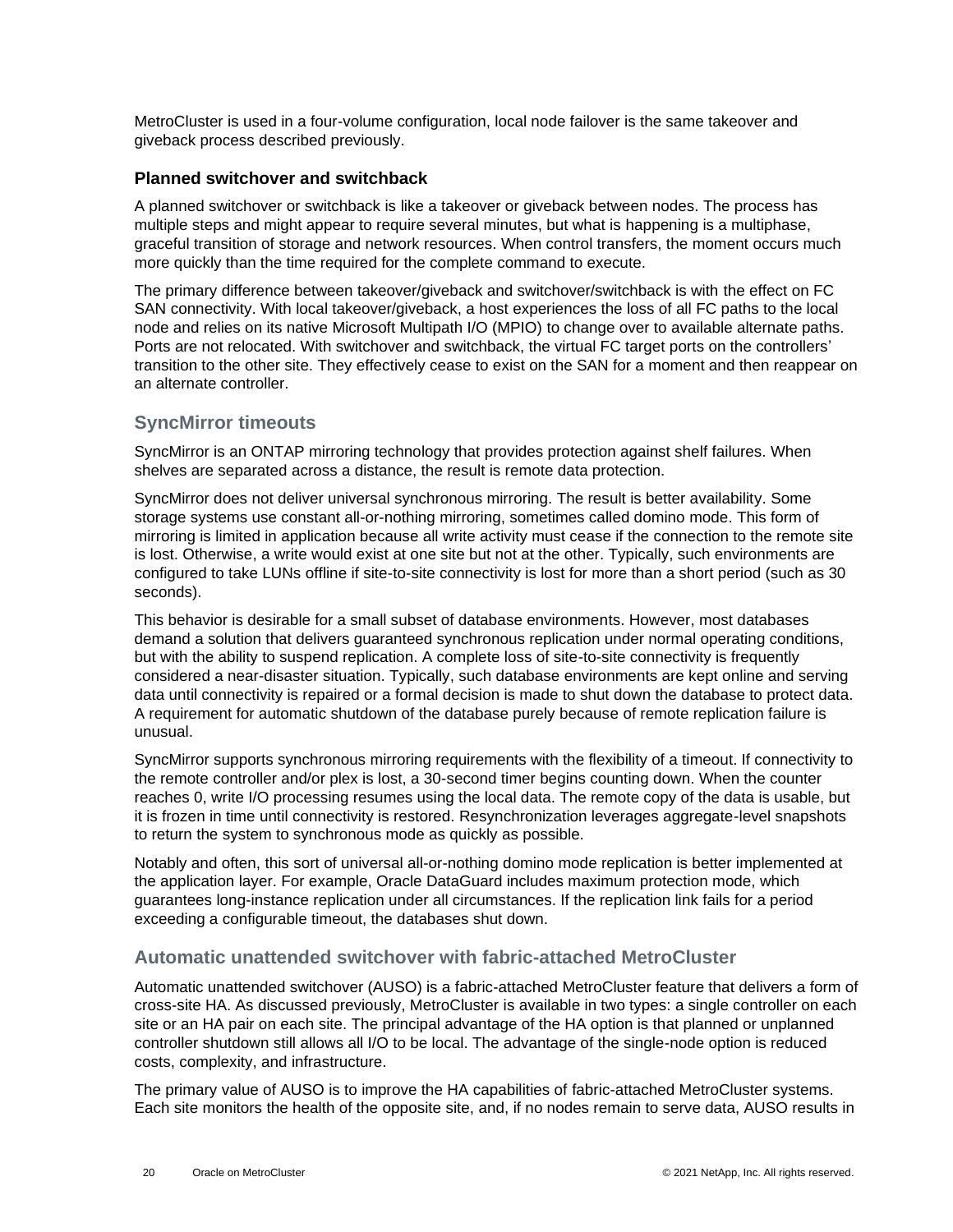MetroCluster is used in a four-volume configuration, local node failover is the same takeover and giveback process described previously.

#### **Planned switchover and switchback**

A planned switchover or switchback is like a takeover or giveback between nodes. The process has multiple steps and might appear to require several minutes, but what is happening is a multiphase, graceful transition of storage and network resources. When control transfers, the moment occurs much more quickly than the time required for the complete command to execute.

The primary difference between takeover/giveback and switchover/switchback is with the effect on FC SAN connectivity. With local takeover/giveback, a host experiences the loss of all FC paths to the local node and relies on its native Microsoft Multipath I/O (MPIO) to change over to available alternate paths. Ports are not relocated. With switchover and switchback, the virtual FC target ports on the controllers' transition to the other site. They effectively cease to exist on the SAN for a moment and then reappear on an alternate controller.

## **SyncMirror timeouts**

SyncMirror is an ONTAP mirroring technology that provides protection against shelf failures. When shelves are separated across a distance, the result is remote data protection.

SyncMirror does not deliver universal synchronous mirroring. The result is better availability. Some storage systems use constant all-or-nothing mirroring, sometimes called domino mode. This form of mirroring is limited in application because all write activity must cease if the connection to the remote site is lost. Otherwise, a write would exist at one site but not at the other. Typically, such environments are configured to take LUNs offline if site-to-site connectivity is lost for more than a short period (such as 30 seconds).

This behavior is desirable for a small subset of database environments. However, most databases demand a solution that delivers guaranteed synchronous replication under normal operating conditions, but with the ability to suspend replication. A complete loss of site-to-site connectivity is frequently considered a near-disaster situation. Typically, such database environments are kept online and serving data until connectivity is repaired or a formal decision is made to shut down the database to protect data. A requirement for automatic shutdown of the database purely because of remote replication failure is unusual.

SyncMirror supports synchronous mirroring requirements with the flexibility of a timeout. If connectivity to the remote controller and/or plex is lost, a 30-second timer begins counting down. When the counter reaches 0, write I/O processing resumes using the local data. The remote copy of the data is usable, but it is frozen in time until connectivity is restored. Resynchronization leverages aggregate-level snapshots to return the system to synchronous mode as quickly as possible.

Notably and often, this sort of universal all-or-nothing domino mode replication is better implemented at the application layer. For example, Oracle DataGuard includes maximum protection mode, which guarantees long-instance replication under all circumstances. If the replication link fails for a period exceeding a configurable timeout, the databases shut down.

### **Automatic unattended switchover with fabric-attached MetroCluster**

Automatic unattended switchover (AUSO) is a fabric-attached MetroCluster feature that delivers a form of cross-site HA. As discussed previously, MetroCluster is available in two types: a single controller on each site or an HA pair on each site. The principal advantage of the HA option is that planned or unplanned controller shutdown still allows all I/O to be local. The advantage of the single-node option is reduced costs, complexity, and infrastructure.

The primary value of AUSO is to improve the HA capabilities of fabric-attached MetroCluster systems. Each site monitors the health of the opposite site, and, if no nodes remain to serve data, AUSO results in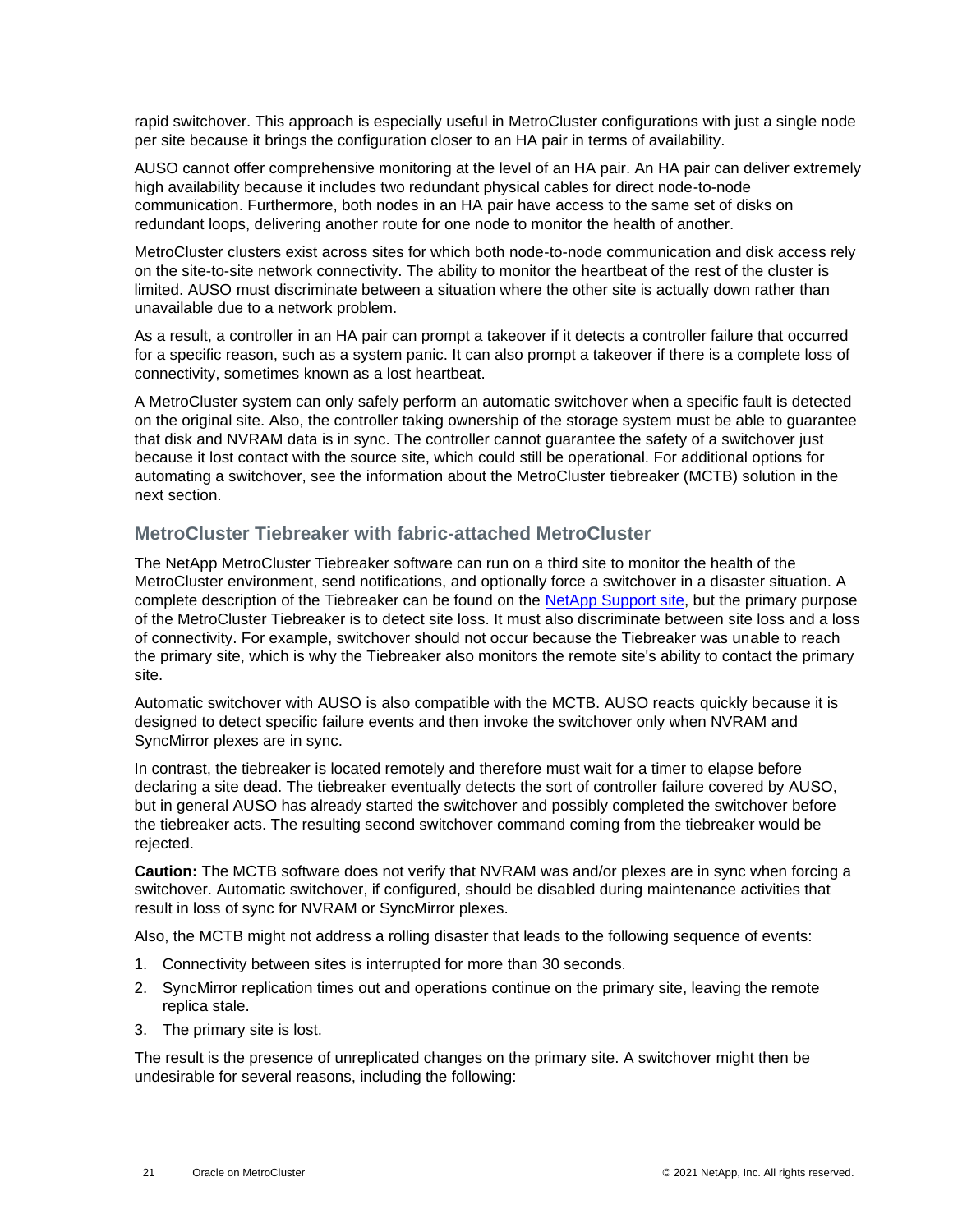rapid switchover. This approach is especially useful in MetroCluster configurations with just a single node per site because it brings the configuration closer to an HA pair in terms of availability.

AUSO cannot offer comprehensive monitoring at the level of an HA pair. An HA pair can deliver extremely high availability because it includes two redundant physical cables for direct node-to-node communication. Furthermore, both nodes in an HA pair have access to the same set of disks on redundant loops, delivering another route for one node to monitor the health of another.

MetroCluster clusters exist across sites for which both node-to-node communication and disk access rely on the site-to-site network connectivity. The ability to monitor the heartbeat of the rest of the cluster is limited. AUSO must discriminate between a situation where the other site is actually down rather than unavailable due to a network problem.

As a result, a controller in an HA pair can prompt a takeover if it detects a controller failure that occurred for a specific reason, such as a system panic. It can also prompt a takeover if there is a complete loss of connectivity, sometimes known as a lost heartbeat.

A MetroCluster system can only safely perform an automatic switchover when a specific fault is detected on the original site. Also, the controller taking ownership of the storage system must be able to guarantee that disk and NVRAM data is in sync. The controller cannot guarantee the safety of a switchover just because it lost contact with the source site, which could still be operational. For additional options for automating a switchover, see the information about the MetroCluster tiebreaker (MCTB) solution in the next section.

#### <span id="page-20-0"></span>**MetroCluster Tiebreaker with fabric-attached MetroCluster**

The NetApp MetroCluster Tiebreaker software can run on a third site to monitor the health of the MetroCluster environment, send notifications, and optionally force a switchover in a disaster situation. A complete description of the Tiebreaker can be found on the [NetApp Support site,](http://mysupport.netapp.com/) but the primary purpose of the MetroCluster Tiebreaker is to detect site loss. It must also discriminate between site loss and a loss of connectivity. For example, switchover should not occur because the Tiebreaker was unable to reach the primary site, which is why the Tiebreaker also monitors the remote site's ability to contact the primary site.

Automatic switchover with AUSO is also compatible with the MCTB. AUSO reacts quickly because it is designed to detect specific failure events and then invoke the switchover only when NVRAM and SyncMirror plexes are in sync.

In contrast, the tiebreaker is located remotely and therefore must wait for a timer to elapse before declaring a site dead. The tiebreaker eventually detects the sort of controller failure covered by AUSO, but in general AUSO has already started the switchover and possibly completed the switchover before the tiebreaker acts. The resulting second switchover command coming from the tiebreaker would be rejected.

**Caution:** The MCTB software does not verify that NVRAM was and/or plexes are in sync when forcing a switchover. Automatic switchover, if configured, should be disabled during maintenance activities that result in loss of sync for NVRAM or SyncMirror plexes.

Also, the MCTB might not address a rolling disaster that leads to the following sequence of events:

- 1. Connectivity between sites is interrupted for more than 30 seconds.
- 2. SyncMirror replication times out and operations continue on the primary site, leaving the remote replica stale.
- 3. The primary site is lost.

The result is the presence of unreplicated changes on the primary site. A switchover might then be undesirable for several reasons, including the following: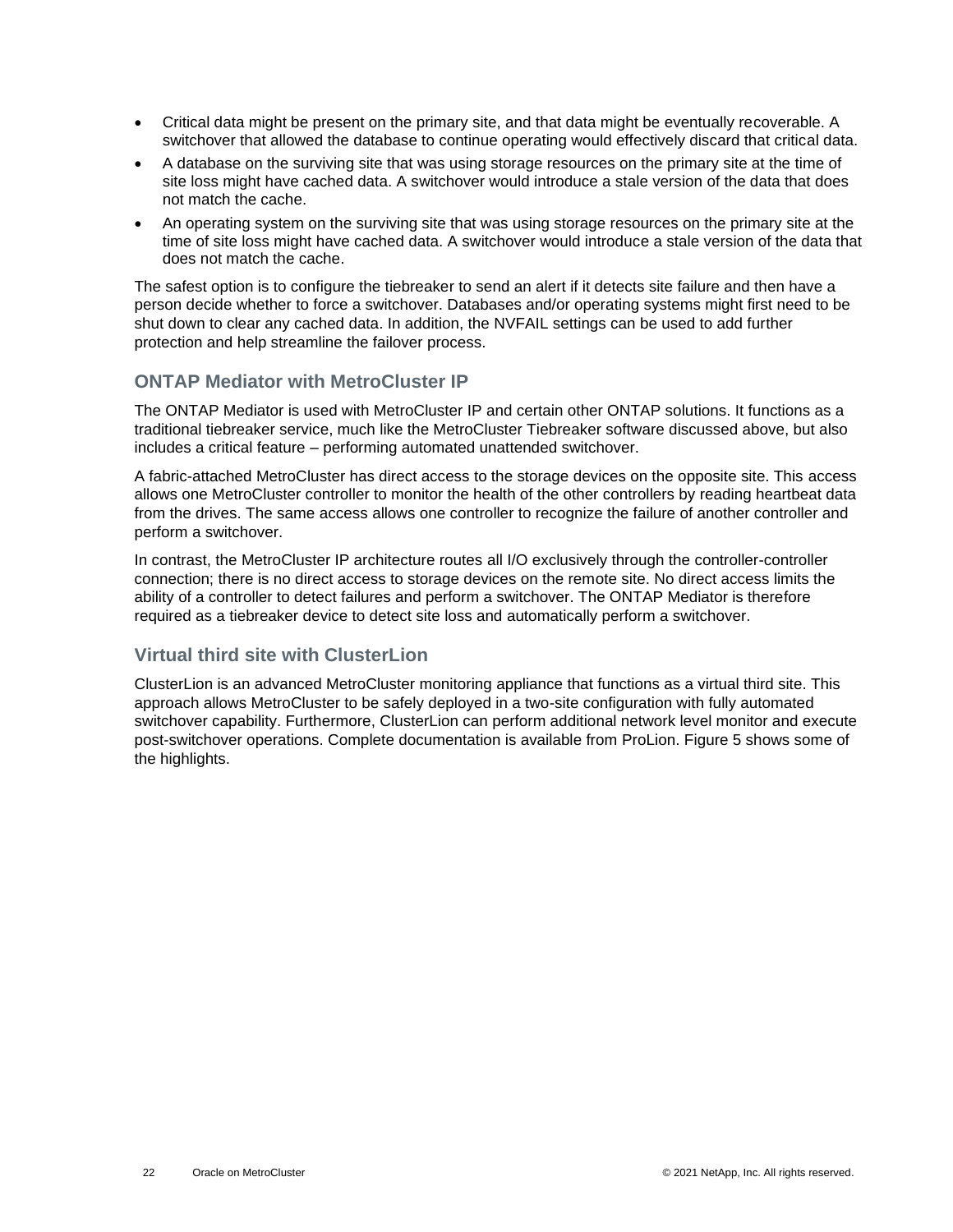- Critical data might be present on the primary site, and that data might be eventually recoverable. A switchover that allowed the database to continue operating would effectively discard that critical data.
- A database on the surviving site that was using storage resources on the primary site at the time of site loss might have cached data. A switchover would introduce a stale version of the data that does not match the cache.
- An operating system on the surviving site that was using storage resources on the primary site at the time of site loss might have cached data. A switchover would introduce a stale version of the data that does not match the cache.

The safest option is to configure the tiebreaker to send an alert if it detects site failure and then have a person decide whether to force a switchover. Databases and/or operating systems might first need to be shut down to clear any cached data. In addition, the NVFAIL settings can be used to add further protection and help streamline the failover process.

### **ONTAP Mediator with MetroCluster IP**

The ONTAP Mediator is used with MetroCluster IP and certain other ONTAP solutions. It functions as a traditional tiebreaker service, much like the MetroCluster Tiebreaker software discussed above, but also includes a critical feature – performing automated unattended switchover.

A fabric-attached MetroCluster has direct access to the storage devices on the opposite site. This access allows one MetroCluster controller to monitor the health of the other controllers by reading heartbeat data from the drives. The same access allows one controller to recognize the failure of another controller and perform a switchover.

In contrast, the MetroCluster IP architecture routes all I/O exclusively through the controller-controller connection; there is no direct access to storage devices on the remote site. No direct access limits the ability of a controller to detect failures and perform a switchover. The ONTAP Mediator is therefore required as a tiebreaker device to detect site loss and automatically perform a switchover.

## **Virtual third site with ClusterLion**

ClusterLion is an advanced MetroCluster monitoring appliance that functions as a virtual third site. This approach allows MetroCluster to be safely deployed in a two-site configuration with fully automated switchover capability. Furthermore, ClusterLion can perform additional network level monitor and execute post-switchover operations. Complete documentation is available from ProLion. [Figure 5](#page-22-1) shows some of the highlights.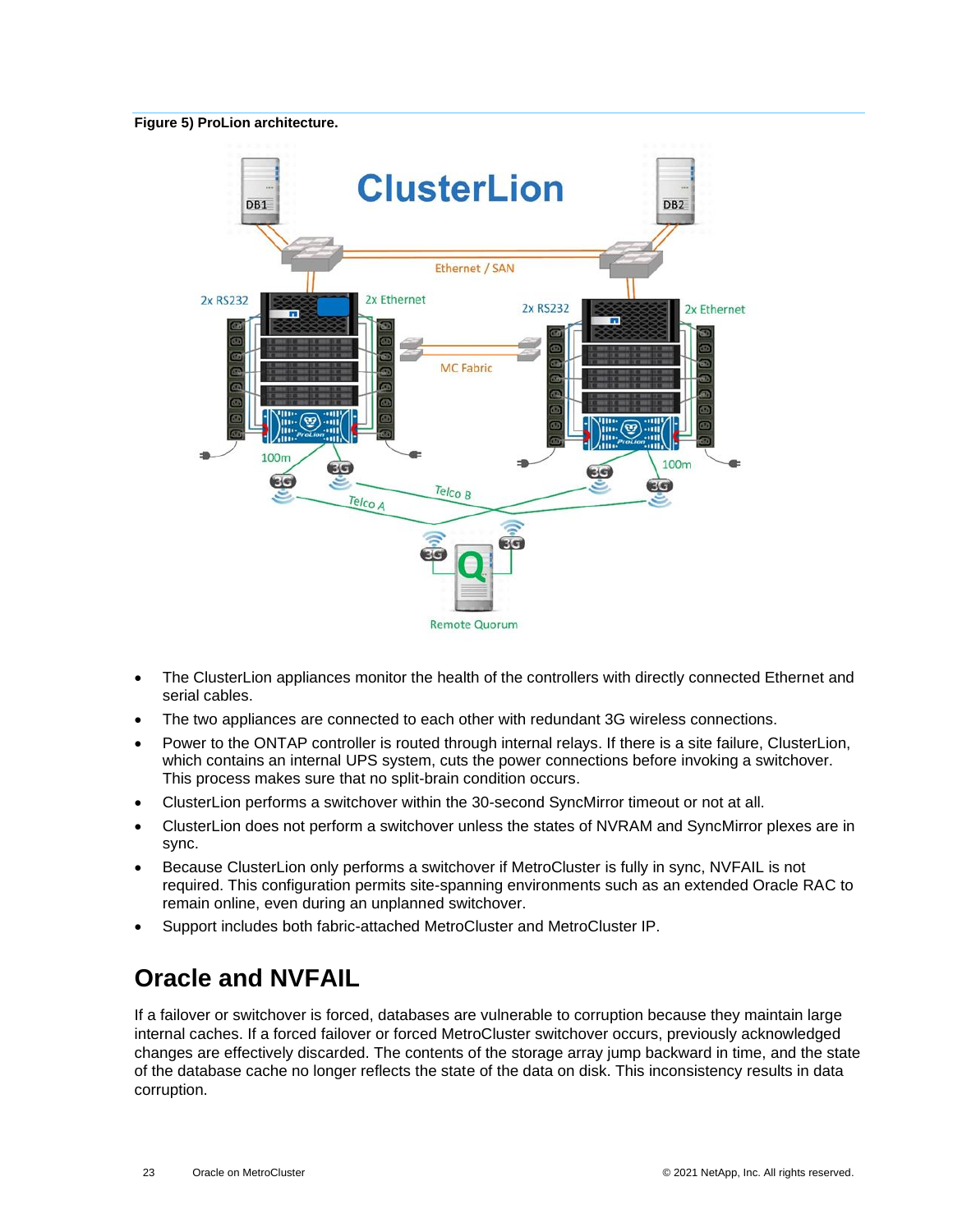#### <span id="page-22-1"></span>**Figure 5) ProLion architecture.**



- The ClusterLion appliances monitor the health of the controllers with directly connected Ethernet and serial cables.
- The two appliances are connected to each other with redundant 3G wireless connections.
- Power to the ONTAP controller is routed through internal relays. If there is a site failure, ClusterLion, which contains an internal UPS system, cuts the power connections before invoking a switchover. This process makes sure that no split-brain condition occurs.
- ClusterLion performs a switchover within the 30-second SyncMirror timeout or not at all.
- ClusterLion does not perform a switchover unless the states of NVRAM and SyncMirror plexes are in sync.
- Because ClusterLion only performs a switchover if MetroCluster is fully in sync, NVFAIL is not required. This configuration permits site-spanning environments such as an extended Oracle RAC to remain online, even during an unplanned switchover.
- <span id="page-22-0"></span>• Support includes both fabric-attached MetroCluster and MetroCluster IP.

# **Oracle and NVFAIL**

If a failover or switchover is forced, databases are vulnerable to corruption because they maintain large internal caches. If a forced failover or forced MetroCluster switchover occurs, previously acknowledged changes are effectively discarded. The contents of the storage array jump backward in time, and the state of the database cache no longer reflects the state of the data on disk. This inconsistency results in data corruption.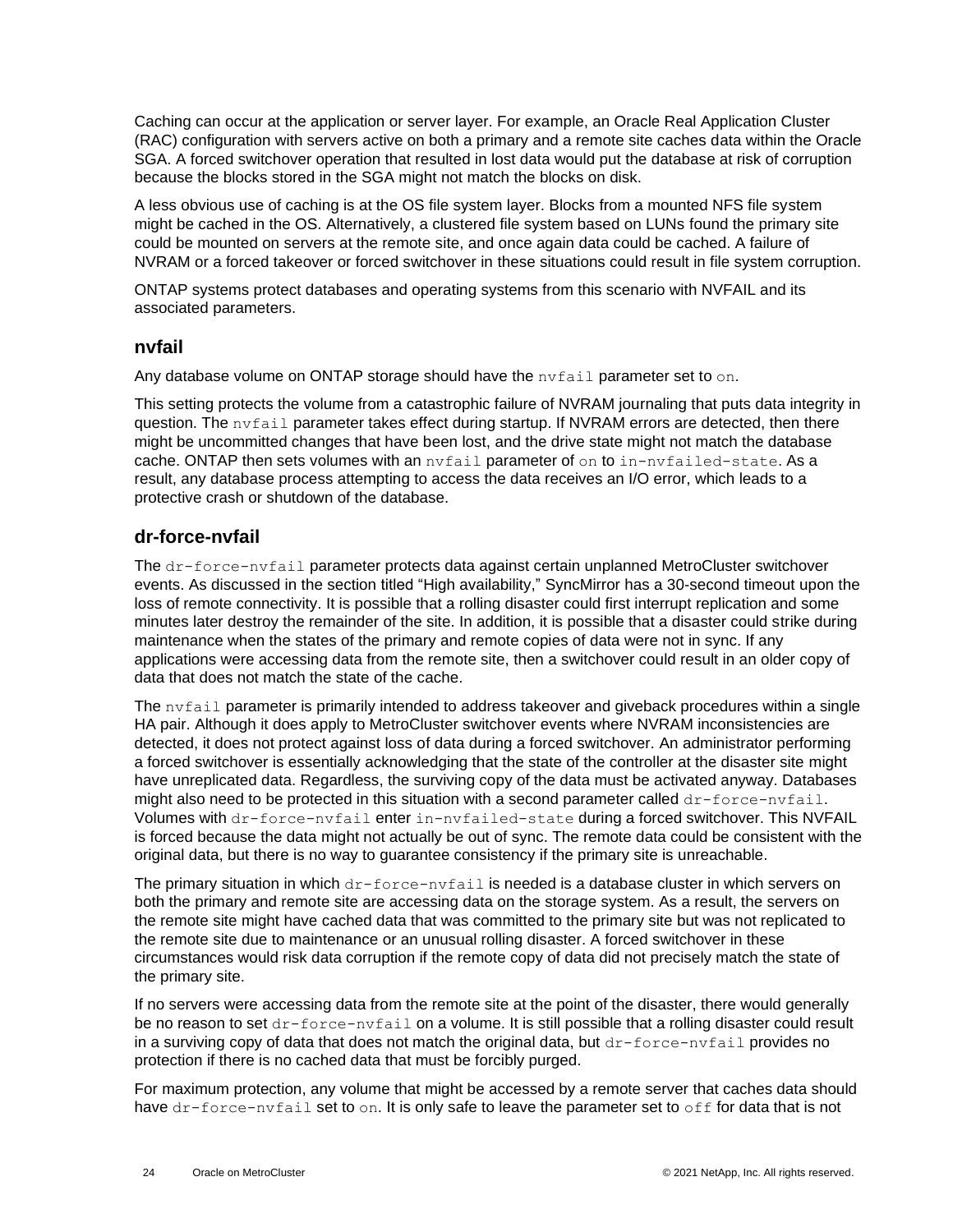Caching can occur at the application or server layer. For example, an Oracle Real Application Cluster (RAC) configuration with servers active on both a primary and a remote site caches data within the Oracle SGA. A forced switchover operation that resulted in lost data would put the database at risk of corruption because the blocks stored in the SGA might not match the blocks on disk.

A less obvious use of caching is at the OS file system layer. Blocks from a mounted NFS file system might be cached in the OS. Alternatively, a clustered file system based on LUNs found the primary site could be mounted on servers at the remote site, and once again data could be cached. A failure of NVRAM or a forced takeover or forced switchover in these situations could result in file system corruption.

ONTAP systems protect databases and operating systems from this scenario with NVFAIL and its associated parameters.

#### <span id="page-23-0"></span>**nvfail**

Any database volume on ONTAP storage should have the nvfail parameter set to on.

This setting protects the volume from a catastrophic failure of NVRAM journaling that puts data integrity in question. The  $nvfail$  parameter takes effect during startup. If NVRAM errors are detected, then there might be uncommitted changes that have been lost, and the drive state might not match the database cache. ONTAP then sets volumes with an nyfail parameter of on to in-nyfailed-state. As a result, any database process attempting to access the data receives an I/O error, which leads to a protective crash or shutdown of the database.

### <span id="page-23-1"></span>**dr-force-nvfail**

The dr-force-nvfail parameter protects data against certain unplanned MetroCluster switchover events. As discussed in the section titled ["High availability,](#page-16-0)" SyncMirror has a 30-second timeout upon the loss of remote connectivity. It is possible that a rolling disaster could first interrupt replication and some minutes later destroy the remainder of the site. In addition, it is possible that a disaster could strike during maintenance when the states of the primary and remote copies of data were not in sync. If any applications were accessing data from the remote site, then a switchover could result in an older copy of data that does not match the state of the cache.

The nvfail parameter is primarily intended to address takeover and giveback procedures within a single HA pair. Although it does apply to MetroCluster switchover events where NVRAM inconsistencies are detected, it does not protect against loss of data during a forced switchover. An administrator performing a forced switchover is essentially acknowledging that the state of the controller at the disaster site might have unreplicated data. Regardless, the surviving copy of the data must be activated anyway. Databases might also need to be protected in this situation with a second parameter called  $dr$ -force-nvfail. Volumes with dr-force-nvfail enter in-nvfailed-state during a forced switchover. This NVFAIL is forced because the data might not actually be out of sync. The remote data could be consistent with the original data, but there is no way to guarantee consistency if the primary site is unreachable.

The primary situation in which  $dr$ -force-nvfail is needed is a database cluster in which servers on both the primary and remote site are accessing data on the storage system. As a result, the servers on the remote site might have cached data that was committed to the primary site but was not replicated to the remote site due to maintenance or an unusual rolling disaster. A forced switchover in these circumstances would risk data corruption if the remote copy of data did not precisely match the state of the primary site.

If no servers were accessing data from the remote site at the point of the disaster, there would generally be no reason to set dr-force-nvfail on a volume. It is still possible that a rolling disaster could result in a surviving copy of data that does not match the original data, but  $dr$ -force-nvfail provides no protection if there is no cached data that must be forcibly purged.

For maximum protection, any volume that might be accessed by a remote server that caches data should have dr-force-nvfail set to on. It is only safe to leave the parameter set to off for data that is not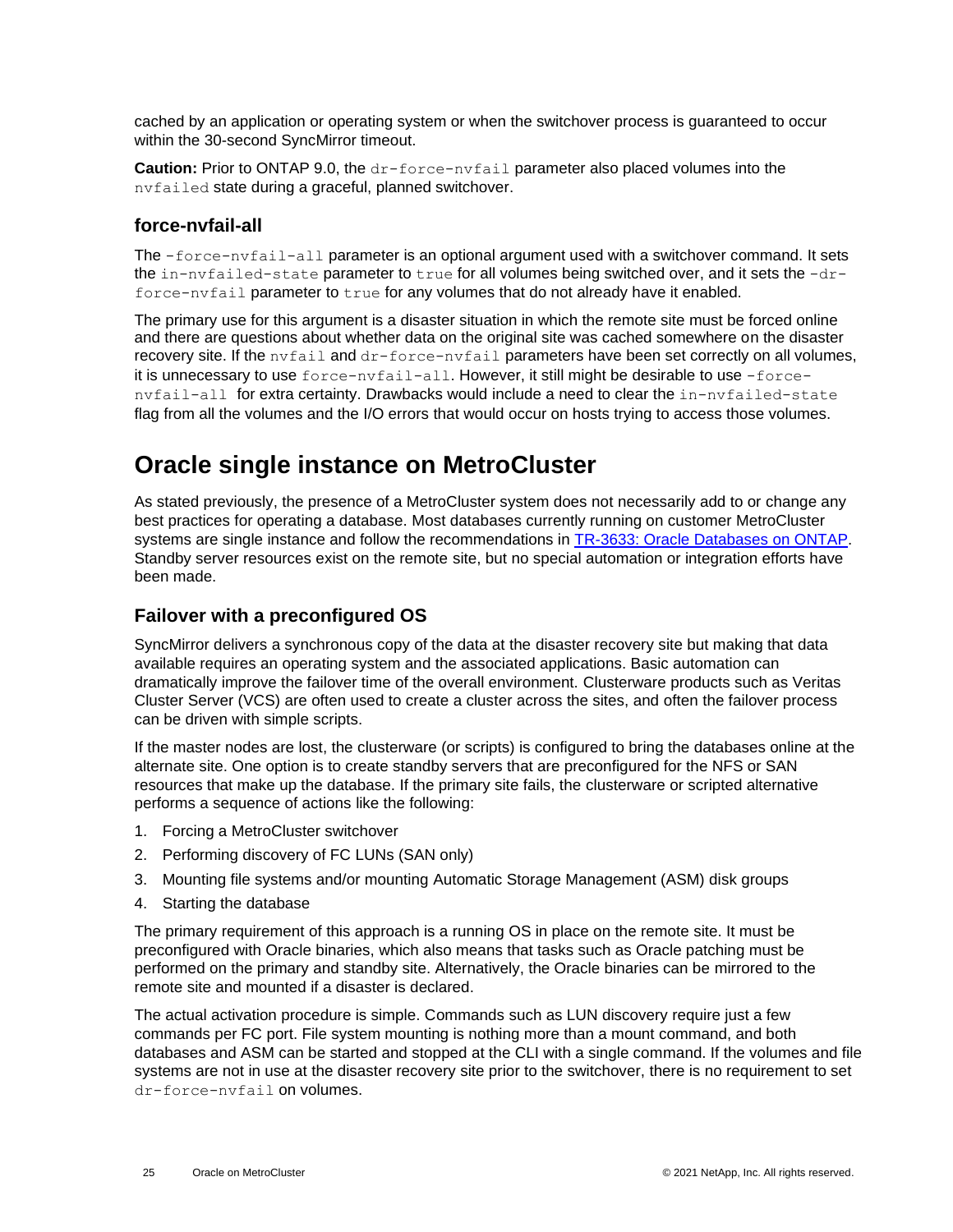cached by an application or operating system or when the switchover process is guaranteed to occur within the 30-second SyncMirror timeout.

**Caution:** Prior to ONTAP 9.0, the dr-force-nvfail parameter also placed volumes into the nvfailed state during a graceful, planned switchover.

### <span id="page-24-0"></span>**force-nvfail-all**

The -force-nvfail-all parameter is an optional argument used with a switchover command. It sets the in-nvfailed-state parameter to true for all volumes being switched over, and it sets the -drforce-nvfail parameter to true for any volumes that do not already have it enabled.

The primary use for this argument is a disaster situation in which the remote site must be forced online and there are questions about whether data on the original site was cached somewhere on the disaster recovery site. If the nvfail and dr-force-nvfail parameters have been set correctly on all volumes, it is unnecessary to use force-nvfail-all. However, it still might be desirable to use -forcenvfail-all for extra certainty. Drawbacks would include a need to clear the in-nvfailed-state flag from all the volumes and the I/O errors that would occur on hosts trying to access those volumes.

## <span id="page-24-1"></span>**Oracle single instance on MetroCluster**

As stated previously, the presence of a MetroCluster system does not necessarily add to or change any best practices for operating a database. Most databases currently running on customer MetroCluster systems are single instance and follow the recommendations in [TR-3633: Oracle Databases](http://www.netapp.com/us/media/tr-3633.pdf) on ONTAP. Standby server resources exist on the remote site, but no special automation or integration efforts have been made.

### <span id="page-24-2"></span>**Failover with a preconfigured OS**

SyncMirror delivers a synchronous copy of the data at the disaster recovery site but making that data available requires an operating system and the associated applications. Basic automation can dramatically improve the failover time of the overall environment. Clusterware products such as Veritas Cluster Server (VCS) are often used to create a cluster across the sites, and often the failover process can be driven with simple scripts.

If the master nodes are lost, the clusterware (or scripts) is configured to bring the databases online at the alternate site. One option is to create standby servers that are preconfigured for the NFS or SAN resources that make up the database. If the primary site fails, the clusterware or scripted alternative performs a sequence of actions like the following:

- 1. Forcing a MetroCluster switchover
- 2. Performing discovery of FC LUNs (SAN only)
- 3. Mounting file systems and/or mounting Automatic Storage Management (ASM) disk groups
- 4. Starting the database

The primary requirement of this approach is a running OS in place on the remote site. It must be preconfigured with Oracle binaries, which also means that tasks such as Oracle patching must be performed on the primary and standby site. Alternatively, the Oracle binaries can be mirrored to the remote site and mounted if a disaster is declared.

The actual activation procedure is simple. Commands such as LUN discovery require just a few commands per FC port. File system mounting is nothing more than a mount command, and both databases and ASM can be started and stopped at the CLI with a single command. If the volumes and file systems are not in use at the disaster recovery site prior to the switchover, there is no requirement to set dr-force-nvfail on volumes.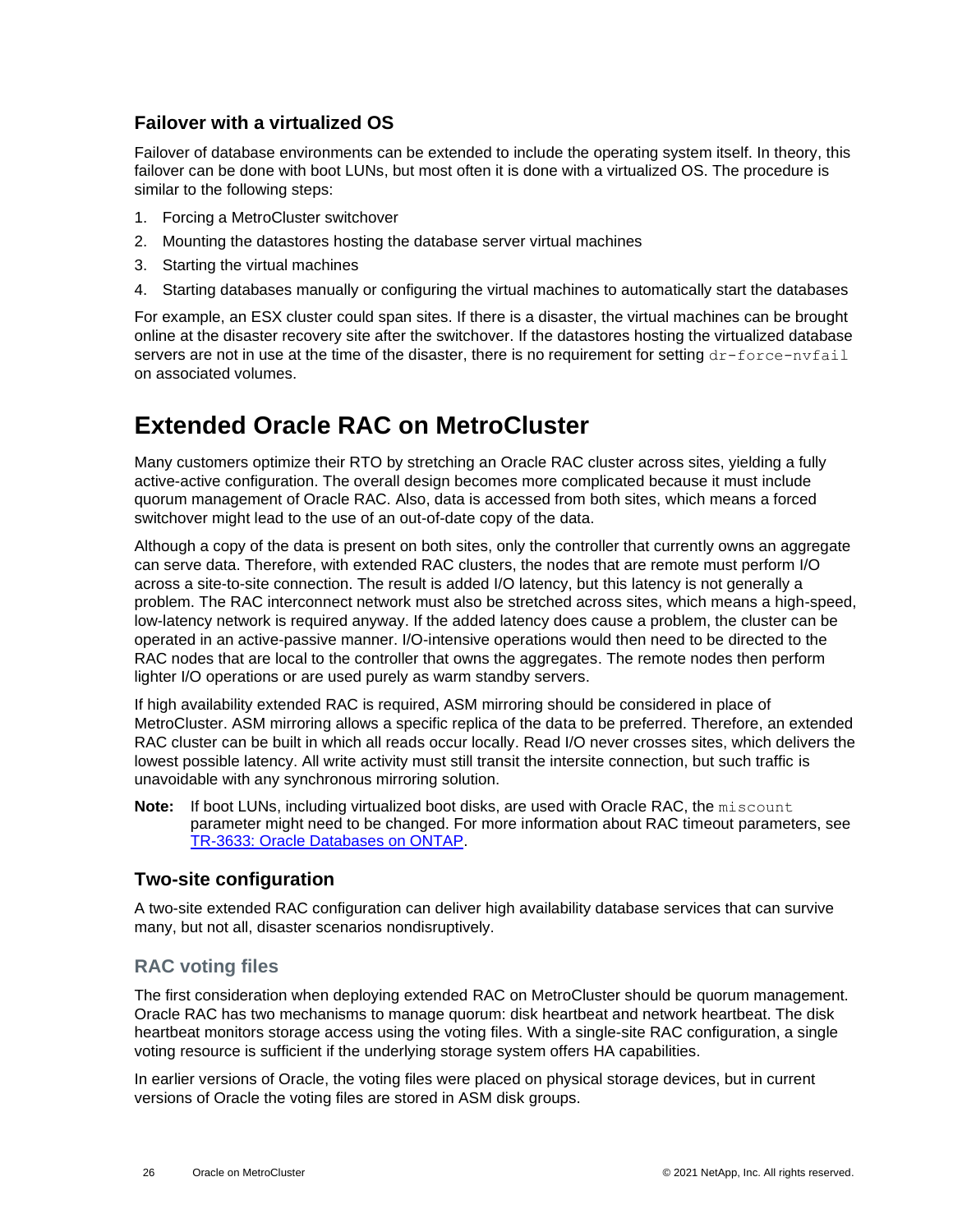### <span id="page-25-0"></span>**Failover with a virtualized OS**

Failover of database environments can be extended to include the operating system itself. In theory, this failover can be done with boot LUNs, but most often it is done with a virtualized OS. The procedure is similar to the following steps:

- 1. Forcing a MetroCluster switchover
- 2. Mounting the datastores hosting the database server virtual machines
- 3. Starting the virtual machines
- 4. Starting databases manually or configuring the virtual machines to automatically start the databases

For example, an ESX cluster could span sites. If there is a disaster, the virtual machines can be brought online at the disaster recovery site after the switchover. If the datastores hosting the virtualized database servers are not in use at the time of the disaster, there is no requirement for setting dr-force-nvfail on associated volumes.

## <span id="page-25-1"></span>**Extended Oracle RAC on MetroCluster**

Many customers optimize their RTO by stretching an Oracle RAC cluster across sites, yielding a fully active-active configuration. The overall design becomes more complicated because it must include quorum management of Oracle RAC. Also, data is accessed from both sites, which means a forced switchover might lead to the use of an out-of-date copy of the data.

Although a copy of the data is present on both sites, only the controller that currently owns an aggregate can serve data. Therefore, with extended RAC clusters, the nodes that are remote must perform I/O across a site-to-site connection. The result is added I/O latency, but this latency is not generally a problem. The RAC interconnect network must also be stretched across sites, which means a high-speed, low-latency network is required anyway. If the added latency does cause a problem, the cluster can be operated in an active-passive manner. I/O-intensive operations would then need to be directed to the RAC nodes that are local to the controller that owns the aggregates. The remote nodes then perform lighter I/O operations or are used purely as warm standby servers.

If high availability extended RAC is required, ASM mirroring should be considered in place of MetroCluster. ASM mirroring allows a specific replica of the data to be preferred. Therefore, an extended RAC cluster can be built in which all reads occur locally. Read I/O never crosses sites, which delivers the lowest possible latency. All write activity must still transit the intersite connection, but such traffic is unavoidable with any synchronous mirroring solution.

**Note:** If boot LUNs, including virtualized boot disks, are used with Oracle RAC, the miscount parameter might need to be changed. For more information about RAC timeout parameters, see [TR-3633: Oracle Databases on ONTAP.](http://www.netapp.com/us/media/tr-3633.pdf)

### <span id="page-25-2"></span>**Two-site configuration**

A two-site extended RAC configuration can deliver high availability database services that can survive many, but not all, disaster scenarios nondisruptively.

## **RAC voting files**

The first consideration when deploying extended RAC on MetroCluster should be quorum management. Oracle RAC has two mechanisms to manage quorum: disk heartbeat and network heartbeat. The disk heartbeat monitors storage access using the voting files. With a single-site RAC configuration, a single voting resource is sufficient if the underlying storage system offers HA capabilities.

In earlier versions of Oracle, the voting files were placed on physical storage devices, but in current versions of Oracle the voting files are stored in ASM disk groups.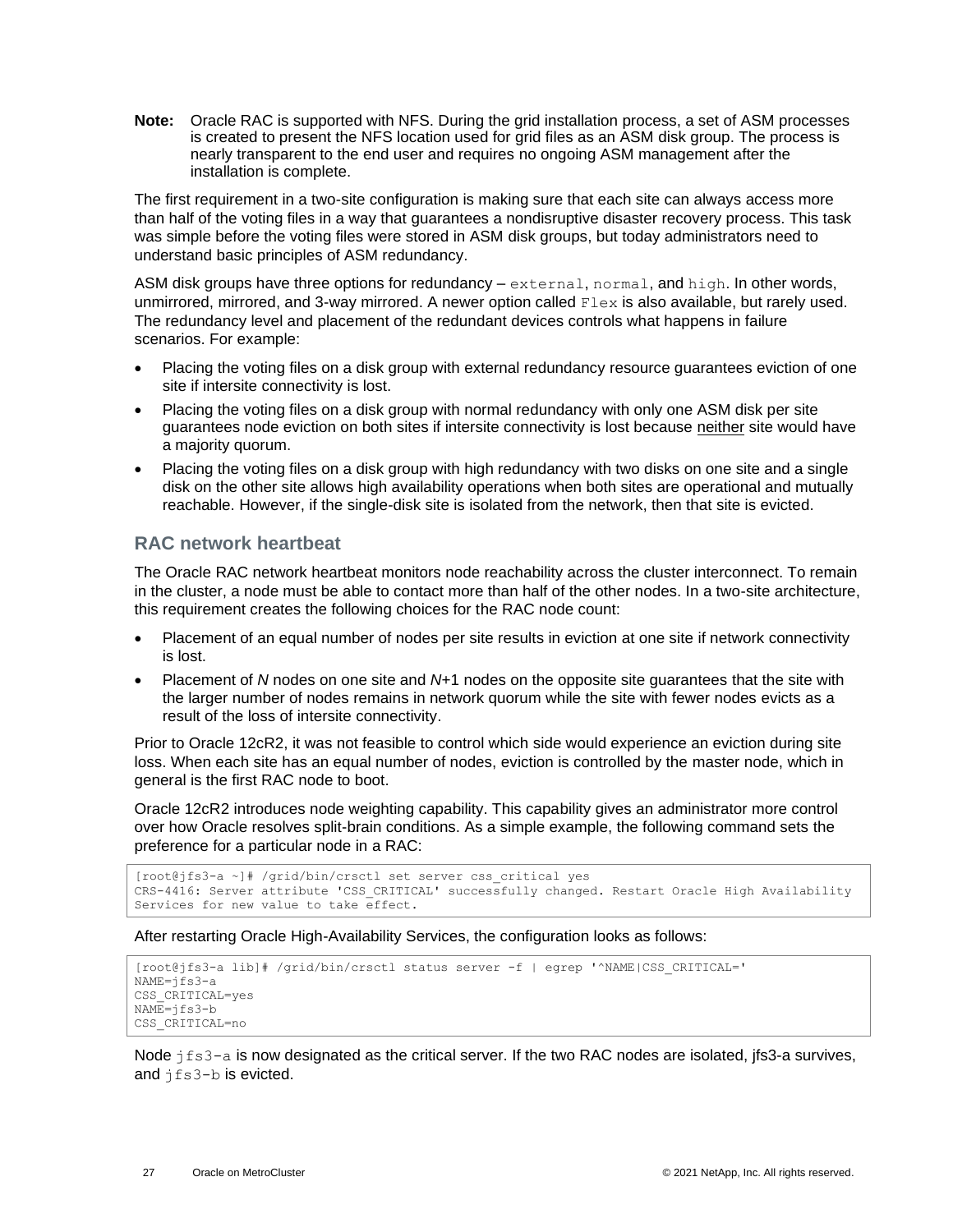**Note:** Oracle RAC is supported with NFS. During the grid installation process, a set of ASM processes is created to present the NFS location used for grid files as an ASM disk group. The process is nearly transparent to the end user and requires no ongoing ASM management after the installation is complete.

The first requirement in a two-site configuration is making sure that each site can always access more than half of the voting files in a way that guarantees a nondisruptive disaster recovery process. This task was simple before the voting files were stored in ASM disk groups, but today administrators need to understand basic principles of ASM redundancy.

ASM disk groups have three options for redundancy – external, normal, and high. In other words, unmirrored, mirrored, and 3-way mirrored. A newer option called Flex is also available, but rarely used. The redundancy level and placement of the redundant devices controls what happens in failure scenarios. For example:

- Placing the voting files on a disk group with external redundancy resource guarantees eviction of one site if intersite connectivity is lost.
- Placing the voting files on a disk group with normal redundancy with only one ASM disk per site guarantees node eviction on both sites if intersite connectivity is lost because neither site would have a majority quorum.
- Placing the voting files on a disk group with high redundancy with two disks on one site and a single disk on the other site allows high availability operations when both sites are operational and mutually reachable. However, if the single-disk site is isolated from the network, then that site is evicted.

### **RAC network heartbeat**

The Oracle RAC network heartbeat monitors node reachability across the cluster interconnect. To remain in the cluster, a node must be able to contact more than half of the other nodes. In a two-site architecture, this requirement creates the following choices for the RAC node count:

- Placement of an equal number of nodes per site results in eviction at one site if network connectivity is lost.
- Placement of *N* nodes on one site and *N*+1 nodes on the opposite site guarantees that the site with the larger number of nodes remains in network quorum while the site with fewer nodes evicts as a result of the loss of intersite connectivity.

Prior to Oracle 12cR2, it was not feasible to control which side would experience an eviction during site loss. When each site has an equal number of nodes, eviction is controlled by the master node, which in general is the first RAC node to boot.

Oracle 12cR2 introduces node weighting capability. This capability gives an administrator more control over how Oracle resolves split-brain conditions. As a simple example, the following command sets the preference for a particular node in a RAC:

```
[root@jfs3-a ~]# /grid/bin/crsctl set server css_critical yes
CRS-4416: Server attribute 'CSS CRITICAL' successfully changed. Restart Oracle High Availability
Services for new value to take effect.
```
After restarting Oracle High-Availability Services, the configuration looks as follows:

```
[root@jfs3-a lib]# /grid/bin/crsctl status server -f | egrep '^NAME|CSS_CRITICAL='
NAME=jfs3-a
CSS_CRITICAL=yes
NAME=jfs3-b
CSS_CRITICAL=no
```
Node  $jfs3-a$  is now designated as the critical server. If the two RAC nodes are isolated, jfs3-a survives, and jfs3-b is evicted.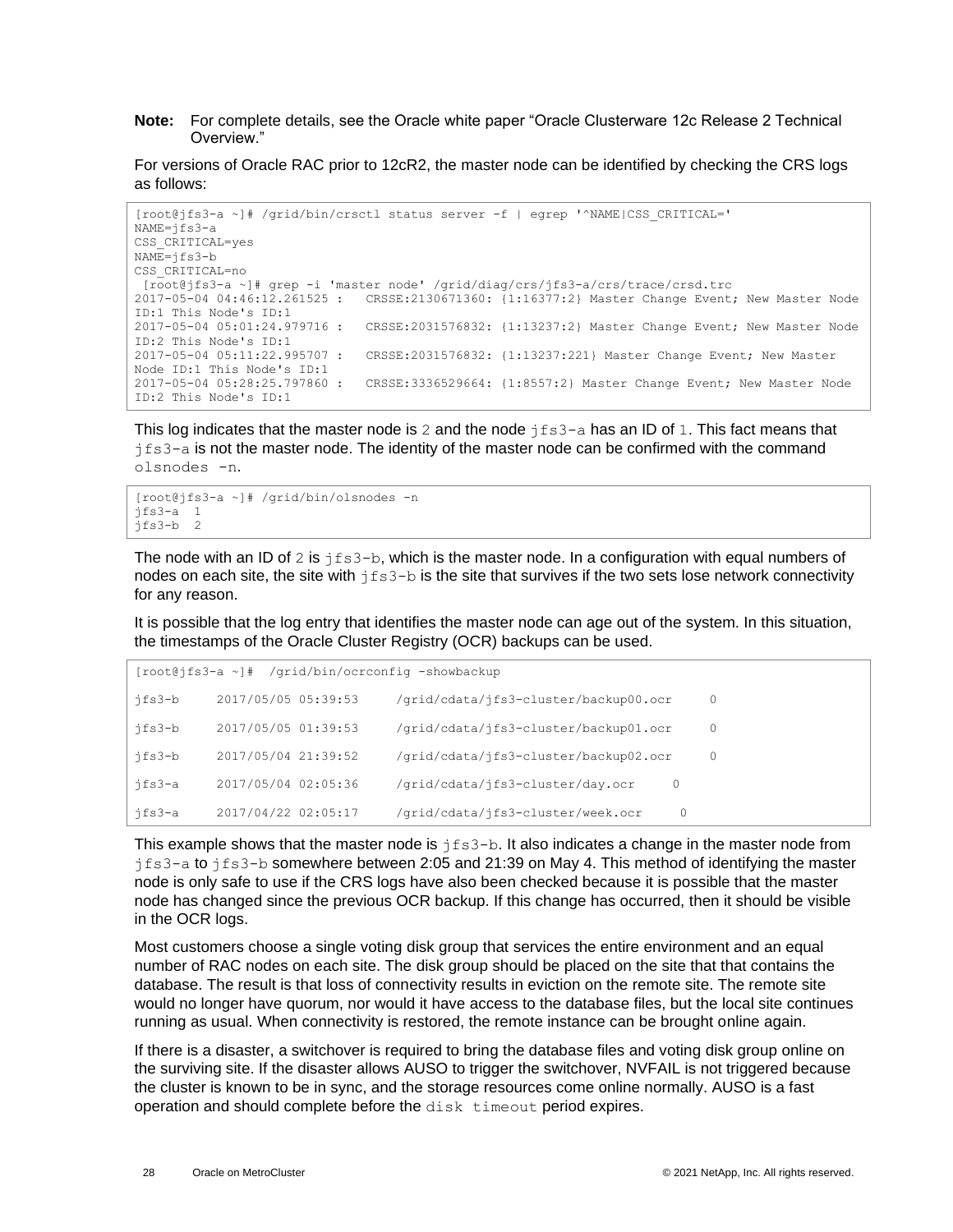**Note:** For complete details, see the Oracle white paper "Oracle Clusterware 12c Release 2 Technical Overview."

For versions of Oracle RAC prior to 12cR2, the master node can be identified by checking the CRS logs as follows:

```
[root@jfs3-a ~]# /grid/bin/crsctl status server -f | egrep '^NAME|CSS_CRITICAL='
NAME=jfs3-a
CSS_CRITICAL=yes
NAME=jfs3-b
CSS_CRITICAL=no
[root@jfs3-a ~]# grep -i 'master node' /grid/diag/crs/jfs3-a/crs/trace/crsd.trc
2017-05-04 04:46:12.261525 : CRSSE:2130671360: {1:16377:2} Master Change Event; New Master Node 
ID:1 This Node's ID:1
2017-05-04 05:01:24.979716 : CRSSE:2031576832: {1:13237:2} Master Change Event; New Master Node 
ID:2 This Node's ID:1
2017-05-04 05:11:22.995707 : CRSSE:2031576832: {1:13237:221} Master Change Event; New Master 
Node ID:1 This Node's ID:1
2017-05-04 05:28:25.797860 : CRSSE:3336529664: {1:8557:2} Master Change Event; New Master Node 
ID:2 This Node's ID:1
```
This log indicates that the master node is 2 and the node  $jfs3-a$  has an ID of 1. This fact means that  $jfs3-a$  is not the master node. The identity of the master node can be confirmed with the command olsnodes -n.

```
[root@jfs3-a ~]# /grid/bin/olsnodes -n
jfs3-a 1
jfs3-b 2
```
The node with an ID of 2 is  $jfs3-b$ , which is the master node. In a configuration with equal numbers of nodes on each site, the site with  $j \text{fs} 3-b$  is the site that survives if the two sets lose network connectivity for any reason.

It is possible that the log entry that identifies the master node can age out of the system. In this situation, the timestamps of the Oracle Cluster Registry (OCR) backups can be used.

|        | [root@jfs3-a ~]# /grid/bin/ocrconfig -showbackup |                                        |   |
|--------|--------------------------------------------------|----------------------------------------|---|
| ifs3-b | 2017/05/05 05:39:53                              | /grid/cdata/jfs3-cluster/backup00.ocr  | 0 |
| jfs3-b | 2017/05/05 01:39:53                              | /grid/cdata/jfs3-cluster/backup01.ocr  | 0 |
| ifs3-b | 2017/05/04 21:39:52                              | /grid/cdata/jfs3-cluster/backup02.ocr  | 0 |
| jfs3-a | 2017/05/04 02:05:36                              | /grid/cdata/jfs3-cluster/day.ocr<br>0  |   |
| jfs3-a | 2017/04/22 02:05:17                              | /grid/cdata/jfs3-cluster/week.ocr<br>0 |   |

This example shows that the master node is  $jfs3-b$ . It also indicates a change in the master node from jfs3-a to jfs3-b somewhere between 2:05 and 21:39 on May 4. This method of identifying the master node is only safe to use if the CRS logs have also been checked because it is possible that the master node has changed since the previous OCR backup. If this change has occurred, then it should be visible in the OCR logs.

Most customers choose a single voting disk group that services the entire environment and an equal number of RAC nodes on each site. The disk group should be placed on the site that that contains the database. The result is that loss of connectivity results in eviction on the remote site. The remote site would no longer have quorum, nor would it have access to the database files, but the local site continues running as usual. When connectivity is restored, the remote instance can be brought online again.

If there is a disaster, a switchover is required to bring the database files and voting disk group online on the surviving site. If the disaster allows AUSO to trigger the switchover, NVFAIL is not triggered because the cluster is known to be in sync, and the storage resources come online normally. AUSO is a fast operation and should complete before the disk timeout period expires.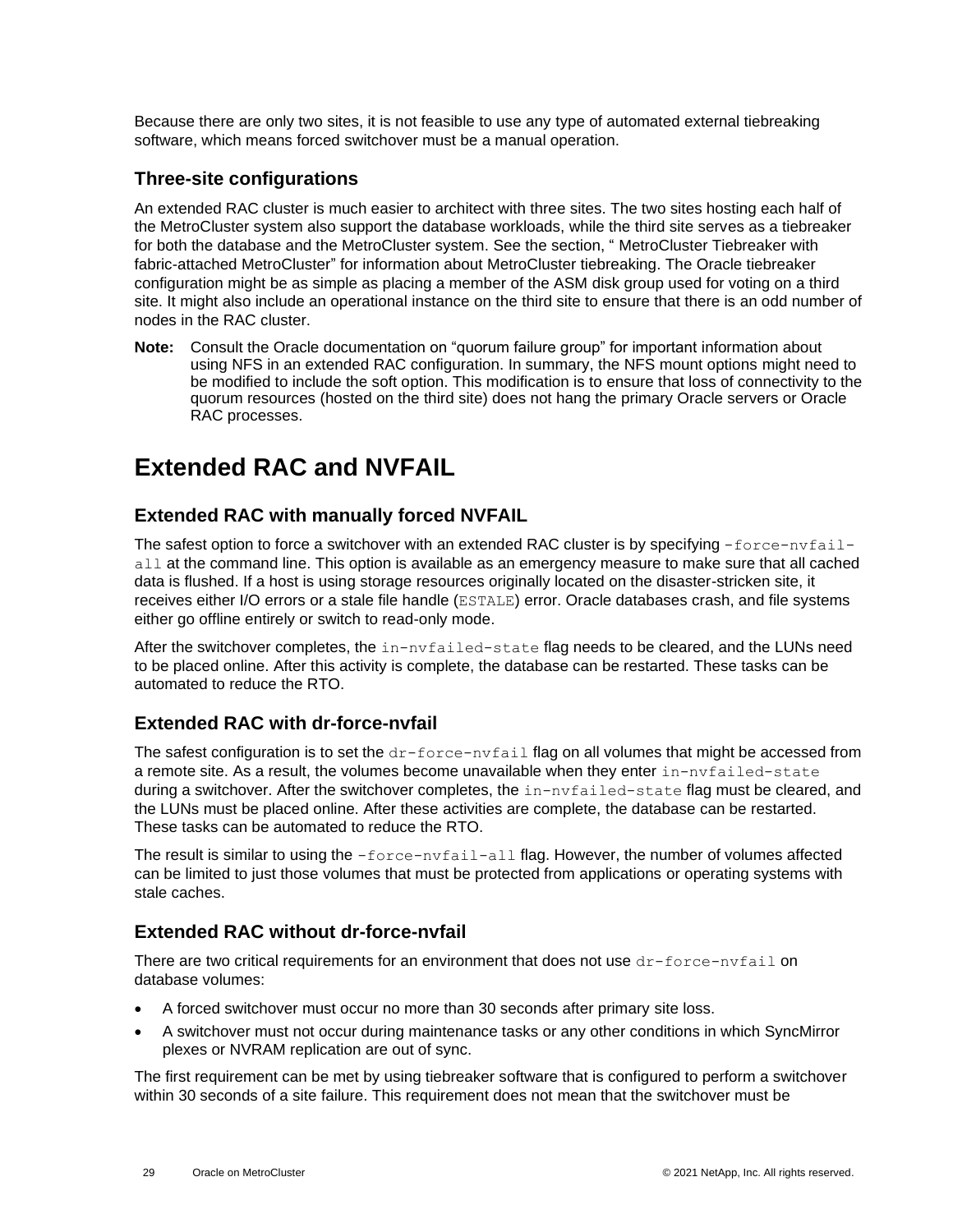Because there are only two sites, it is not feasible to use any type of automated external tiebreaking software, which means forced switchover must be a manual operation.

### <span id="page-28-0"></span>**Three-site configurations**

An extended RAC cluster is much easier to architect with three sites. The two sites hosting each half of the MetroCluster system also support the database workloads, while the third site serves as a tiebreaker for both the database and the MetroCluster system. See the section, " [MetroCluster Tiebreaker with](#page-20-0)  [fabric-attached MetroCluster"](#page-20-0) for information about MetroCluster tiebreaking. The Oracle tiebreaker configuration might be as simple as placing a member of the ASM disk group used for voting on a third site. It might also include an operational instance on the third site to ensure that there is an odd number of nodes in the RAC cluster.

**Note:** Consult the Oracle documentation on "quorum failure group" for important information about using NFS in an extended RAC configuration. In summary, the NFS mount options might need to be modified to include the soft option. This modification is to ensure that loss of connectivity to the quorum resources (hosted on the third site) does not hang the primary Oracle servers or Oracle RAC processes.

# <span id="page-28-1"></span>**Extended RAC and NVFAIL**

### <span id="page-28-2"></span>**Extended RAC with manually forced NVFAIL**

The safest option to force a switchover with an extended RAC cluster is by specifying  $-\text{force}-n\nu\text{fail}$ all at the command line. This option is available as an emergency measure to make sure that all cached data is flushed. If a host is using storage resources originally located on the disaster-stricken site, it receives either I/O errors or a stale file handle (ESTALE) error. Oracle databases crash, and file systems either go offline entirely or switch to read-only mode.

After the switchover completes, the in-nvfailed-state flag needs to be cleared, and the LUNs need to be placed online. After this activity is complete, the database can be restarted. These tasks can be automated to reduce the RTO.

## <span id="page-28-3"></span>**Extended RAC with dr-force-nvfail**

The safest configuration is to set the  $dr$ -force-nvfail flag on all volumes that might be accessed from a remote site. As a result, the volumes become unavailable when they enter in-nvfailed-state during a switchover. After the switchover completes, the in-nvfailed-state flag must be cleared, and the LUNs must be placed online. After these activities are complete, the database can be restarted. These tasks can be automated to reduce the RTO.

The result is similar to using the -force-nvfail-all flag. However, the number of volumes affected can be limited to just those volumes that must be protected from applications or operating systems with stale caches.

## <span id="page-28-4"></span>**Extended RAC without dr-force-nvfail**

There are two critical requirements for an environment that does not use  $dr$ -force-nvfail on database volumes:

- A forced switchover must occur no more than 30 seconds after primary site loss.
- A switchover must not occur during maintenance tasks or any other conditions in which SyncMirror plexes or NVRAM replication are out of sync.

The first requirement can be met by using tiebreaker software that is configured to perform a switchover within 30 seconds of a site failure. This requirement does not mean that the switchover must be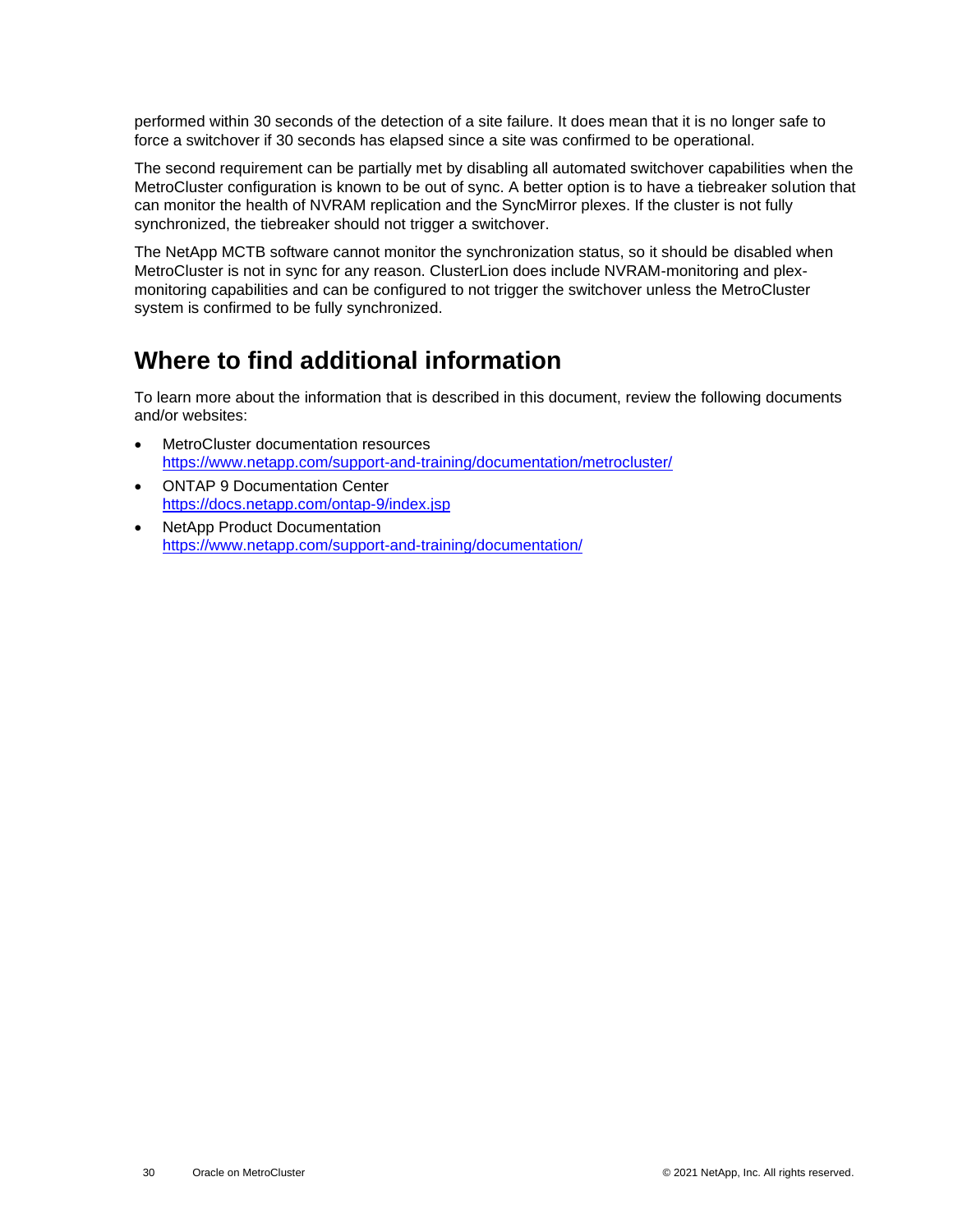performed within 30 seconds of the detection of a site failure. It does mean that it is no longer safe to force a switchover if 30 seconds has elapsed since a site was confirmed to be operational.

The second requirement can be partially met by disabling all automated switchover capabilities when the MetroCluster configuration is known to be out of sync. A better option is to have a tiebreaker solution that can monitor the health of NVRAM replication and the SyncMirror plexes. If the cluster is not fully synchronized, the tiebreaker should not trigger a switchover.

The NetApp MCTB software cannot monitor the synchronization status, so it should be disabled when MetroCluster is not in sync for any reason. ClusterLion does include NVRAM-monitoring and plexmonitoring capabilities and can be configured to not trigger the switchover unless the MetroCluster system is confirmed to be fully synchronized.

# <span id="page-29-0"></span>**Where to find additional information**

To learn more about the information that is described in this document, review the following documents and/or websites:

- MetroCluster documentation resources <https://www.netapp.com/support-and-training/documentation/metrocluster/>
- ONTAP 9 Documentation Center <https://docs.netapp.com/ontap-9/index.jsp>
- NetApp Product Documentation <https://www.netapp.com/support-and-training/documentation/>